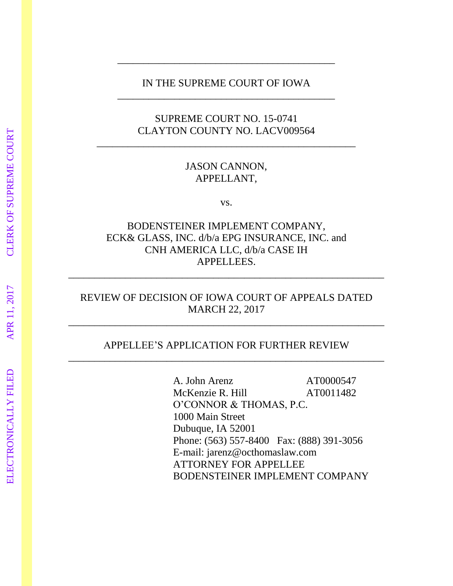## IN THE SUPREME COURT OF IOWA \_\_\_\_\_\_\_\_\_\_\_\_\_\_\_\_\_\_\_\_\_\_\_\_\_\_\_\_\_\_\_\_\_\_\_\_\_\_\_\_\_\_

\_\_\_\_\_\_\_\_\_\_\_\_\_\_\_\_\_\_\_\_\_\_\_\_\_\_\_\_\_\_\_\_\_\_\_\_\_\_\_\_\_\_

## SUPREME COURT NO. 15-0741 CLAYTON COUNTY NO. LACV009564

\_\_\_\_\_\_\_\_\_\_\_\_\_\_\_\_\_\_\_\_\_\_\_\_\_\_\_\_\_\_\_\_\_\_\_\_\_\_\_\_\_\_\_\_\_\_\_\_\_\_

## JASON CANNON, APPELLANT,

vs.

## BODENSTEINER IMPLEMENT COMPANY, ECK& GLASS, INC. d/b/a EPG INSURANCE, INC. and CNH AMERICA LLC, d/b/a CASE IH APPELLEES.

\_\_\_\_\_\_\_\_\_\_\_\_\_\_\_\_\_\_\_\_\_\_\_\_\_\_\_\_\_\_\_\_\_\_\_\_\_\_\_\_\_\_\_\_\_\_\_\_\_\_\_\_\_\_\_\_\_\_\_\_\_

## REVIEW OF DECISION OF IOWA COURT OF APPEALS DATED MARCH 22, 2017

\_\_\_\_\_\_\_\_\_\_\_\_\_\_\_\_\_\_\_\_\_\_\_\_\_\_\_\_\_\_\_\_\_\_\_\_\_\_\_\_\_\_\_\_\_\_\_\_\_\_\_\_\_\_\_\_\_\_\_\_\_

## APPELLEE'S APPLICATION FOR FURTHER REVIEW \_\_\_\_\_\_\_\_\_\_\_\_\_\_\_\_\_\_\_\_\_\_\_\_\_\_\_\_\_\_\_\_\_\_\_\_\_\_\_\_\_\_\_\_\_\_\_\_\_\_\_\_\_\_\_\_\_\_\_\_\_

A. John Arenz AT0000547 McKenzie R. Hill AT0011482 O'CONNOR & THOMAS, P.C. 1000 Main Street Dubuque, IA 52001 Phone: (563) 557-8400 Fax: (888) 391-3056 E-mail: jarenz@octhomaslaw.com ATTORNEY FOR APPELLEE BODENSTEINER IMPLEMENT COMPANY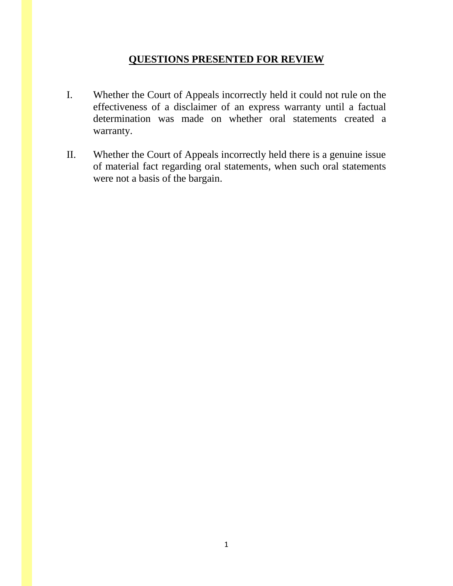## **QUESTIONS PRESENTED FOR REVIEW**

- I. Whether the Court of Appeals incorrectly held it could not rule on the effectiveness of a disclaimer of an express warranty until a factual determination was made on whether oral statements created a warranty.
- II. Whether the Court of Appeals incorrectly held there is a genuine issue of material fact regarding oral statements, when such oral statements were not a basis of the bargain.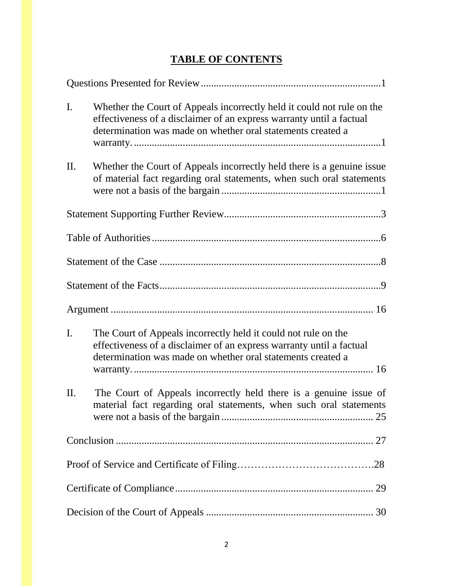| I.  | Whether the Court of Appeals incorrectly held it could not rule on the<br>effectiveness of a disclaimer of an express warranty until a factual<br>determination was made on whether oral statements created a |
|-----|---------------------------------------------------------------------------------------------------------------------------------------------------------------------------------------------------------------|
| П.  | Whether the Court of Appeals incorrectly held there is a genuine issue<br>of material fact regarding oral statements, when such oral statements                                                               |
|     |                                                                                                                                                                                                               |
|     |                                                                                                                                                                                                               |
|     |                                                                                                                                                                                                               |
|     |                                                                                                                                                                                                               |
|     |                                                                                                                                                                                                               |
| I.  | The Court of Appeals incorrectly held it could not rule on the<br>effectiveness of a disclaimer of an express warranty until a factual<br>determination was made on whether oral statements created a         |
| II. | The Court of Appeals incorrectly held there is a genuine issue of<br>material fact regarding oral statements, when such oral statements                                                                       |
|     |                                                                                                                                                                                                               |
|     |                                                                                                                                                                                                               |
|     |                                                                                                                                                                                                               |
|     |                                                                                                                                                                                                               |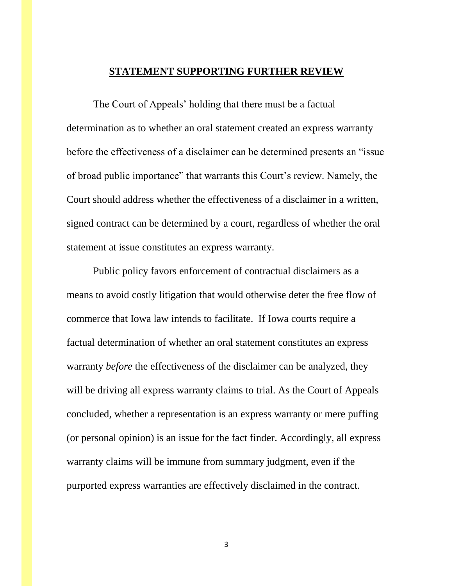### **STATEMENT SUPPORTING FURTHER REVIEW**

The Court of Appeals' holding that there must be a factual determination as to whether an oral statement created an express warranty before the effectiveness of a disclaimer can be determined presents an "issue of broad public importance" that warrants this Court's review. Namely, the Court should address whether the effectiveness of a disclaimer in a written, signed contract can be determined by a court, regardless of whether the oral statement at issue constitutes an express warranty.

Public policy favors enforcement of contractual disclaimers as a means to avoid costly litigation that would otherwise deter the free flow of commerce that Iowa law intends to facilitate. If Iowa courts require a factual determination of whether an oral statement constitutes an express warranty *before* the effectiveness of the disclaimer can be analyzed, they will be driving all express warranty claims to trial. As the Court of Appeals concluded, whether a representation is an express warranty or mere puffing (or personal opinion) is an issue for the fact finder. Accordingly, all express warranty claims will be immune from summary judgment, even if the purported express warranties are effectively disclaimed in the contract.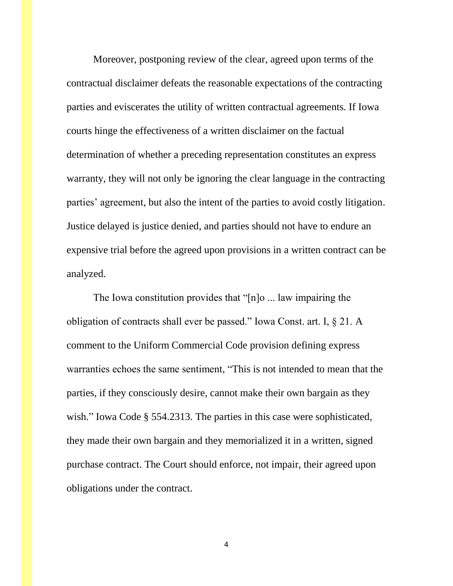Moreover, postponing review of the clear, agreed upon terms of the contractual disclaimer defeats the reasonable expectations of the contracting parties and eviscerates the utility of written contractual agreements. If Iowa courts hinge the effectiveness of a written disclaimer on the factual determination of whether a preceding representation constitutes an express warranty, they will not only be ignoring the clear language in the contracting parties' agreement, but also the intent of the parties to avoid costly litigation. Justice delayed is justice denied, and parties should not have to endure an expensive trial before the agreed upon provisions in a written contract can be analyzed.

The Iowa constitution provides that "[n]o ... law impairing the obligation of contracts shall ever be passed." Iowa Const. art. I, § 21. A comment to the Uniform Commercial Code provision defining express warranties echoes the same sentiment, "This is not intended to mean that the parties, if they consciously desire, cannot make their own bargain as they wish." Iowa Code § 554.2313. The parties in this case were sophisticated, they made their own bargain and they memorialized it in a written, signed purchase contract. The Court should enforce, not impair, their agreed upon obligations under the contract.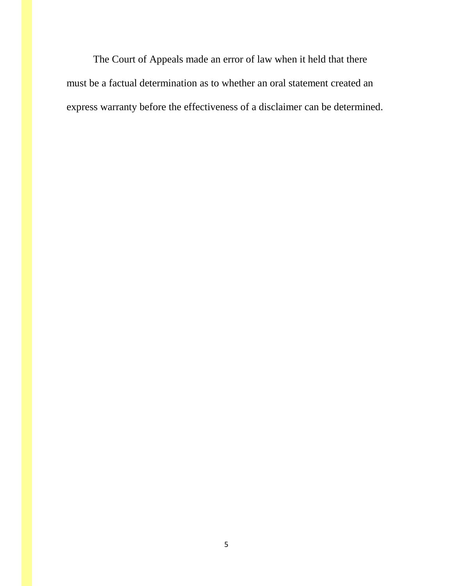The Court of Appeals made an error of law when it held that there must be a factual determination as to whether an oral statement created an express warranty before the effectiveness of a disclaimer can be determined.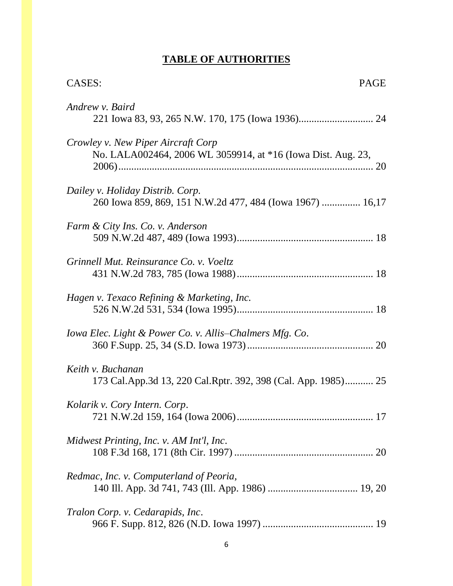# **TABLE OF AUTHORITIES**

| <b>CASES:</b><br><b>PAGE</b>                                                                       |
|----------------------------------------------------------------------------------------------------|
| Andrew v. Baird                                                                                    |
| Crowley v. New Piper Aircraft Corp<br>No. LALA002464, 2006 WL 3059914, at *16 (Iowa Dist. Aug. 23, |
| Dailey v. Holiday Distrib. Corp.<br>260 Iowa 859, 869, 151 N.W.2d 477, 484 (Iowa 1967)  16,17      |
| Farm & City Ins. Co. v. Anderson                                                                   |
| Grinnell Mut. Reinsurance Co. v. Voeltz                                                            |
| Hagen v. Texaco Refining & Marketing, Inc.                                                         |
| Iowa Elec. Light & Power Co. v. Allis–Chalmers Mfg. Co.                                            |
| Keith v. Buchanan<br>173 Cal.App.3d 13, 220 Cal.Rptr. 392, 398 (Cal. App. 1985) 25                 |
| Kolarik v. Cory Intern. Corp.                                                                      |
| Midwest Printing, Inc. v. AM Int'l, Inc.                                                           |
| Redmac, Inc. v. Computerland of Peoria,                                                            |
| Tralon Corp. v. Cedarapids, Inc.                                                                   |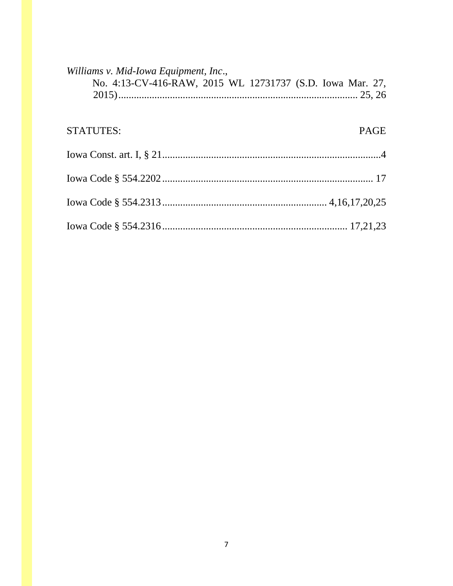| Williams v. Mid-Iowa Equipment, Inc.,                     |             |
|-----------------------------------------------------------|-------------|
| No. 4:13-CV-416-RAW, 2015 WL 12731737 (S.D. Iowa Mar. 27, |             |
|                                                           |             |
|                                                           |             |
| <b>STATUTES:</b>                                          | <b>PAGE</b> |
|                                                           |             |
|                                                           |             |
|                                                           |             |
|                                                           |             |
|                                                           |             |
|                                                           |             |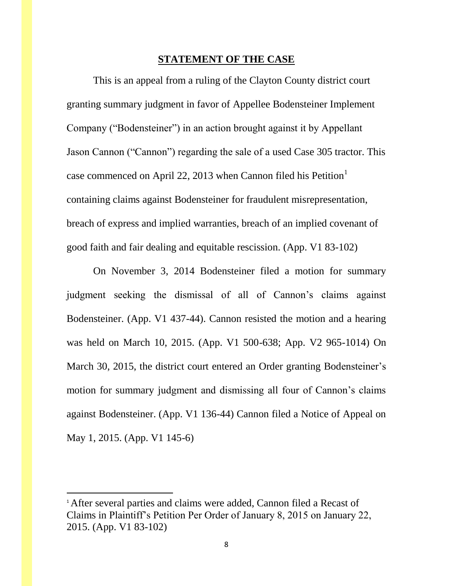### **STATEMENT OF THE CASE**

This is an appeal from a ruling of the Clayton County district court granting summary judgment in favor of Appellee Bodensteiner Implement Company ("Bodensteiner") in an action brought against it by Appellant Jason Cannon ("Cannon") regarding the sale of a used Case 305 tractor. This case commenced on April 22, 2013 when Cannon filed his Petition<sup>1</sup> containing claims against Bodensteiner for fraudulent misrepresentation, breach of express and implied warranties, breach of an implied covenant of good faith and fair dealing and equitable rescission. (App. V1 83-102)

On November 3, 2014 Bodensteiner filed a motion for summary judgment seeking the dismissal of all of Cannon's claims against Bodensteiner. (App. V1 437-44). Cannon resisted the motion and a hearing was held on March 10, 2015. (App. V1 500-638; App. V2 965-1014) On March 30, 2015, the district court entered an Order granting Bodensteiner's motion for summary judgment and dismissing all four of Cannon's claims against Bodensteiner. (App. V1 136-44) Cannon filed a Notice of Appeal on May 1, 2015. (App. V1 145-6)

 $\overline{\phantom{a}}$ 

<sup>&</sup>lt;sup>1</sup> After several parties and claims were added, Cannon filed a Recast of Claims in Plaintiff's Petition Per Order of January 8, 2015 on January 22, 2015. (App. V1 83-102)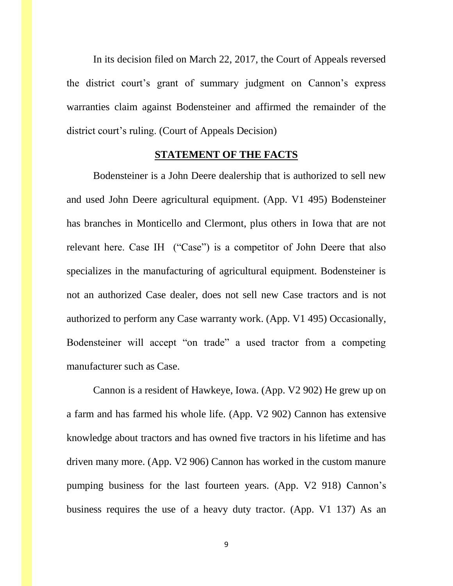In its decision filed on March 22, 2017, the Court of Appeals reversed the district court's grant of summary judgment on Cannon's express warranties claim against Bodensteiner and affirmed the remainder of the district court's ruling. (Court of Appeals Decision)

## **STATEMENT OF THE FACTS**

Bodensteiner is a John Deere dealership that is authorized to sell new and used John Deere agricultural equipment. (App. V1 495) Bodensteiner has branches in Monticello and Clermont, plus others in Iowa that are not relevant here. Case IH ("Case") is a competitor of John Deere that also specializes in the manufacturing of agricultural equipment. Bodensteiner is not an authorized Case dealer, does not sell new Case tractors and is not authorized to perform any Case warranty work. (App. V1 495) Occasionally, Bodensteiner will accept "on trade" a used tractor from a competing manufacturer such as Case.

Cannon is a resident of Hawkeye, Iowa. (App. V2 902) He grew up on a farm and has farmed his whole life. (App. V2 902) Cannon has extensive knowledge about tractors and has owned five tractors in his lifetime and has driven many more. (App. V2 906) Cannon has worked in the custom manure pumping business for the last fourteen years. (App. V2 918) Cannon's business requires the use of a heavy duty tractor. (App. V1 137) As an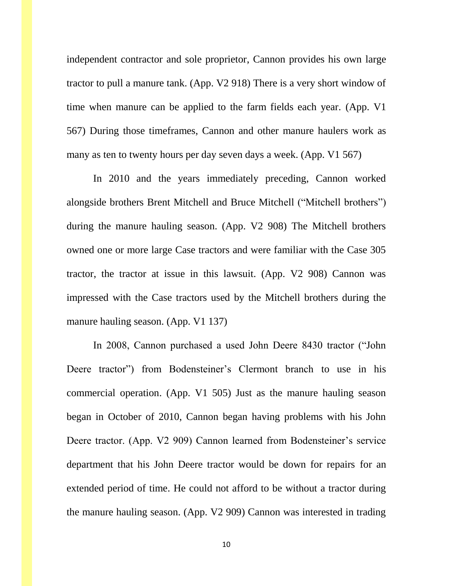independent contractor and sole proprietor, Cannon provides his own large tractor to pull a manure tank. (App. V2 918) There is a very short window of time when manure can be applied to the farm fields each year. (App. V1 567) During those timeframes, Cannon and other manure haulers work as many as ten to twenty hours per day seven days a week. (App. V1 567)

In 2010 and the years immediately preceding, Cannon worked alongside brothers Brent Mitchell and Bruce Mitchell ("Mitchell brothers") during the manure hauling season. (App. V2 908) The Mitchell brothers owned one or more large Case tractors and were familiar with the Case 305 tractor, the tractor at issue in this lawsuit. (App. V2 908) Cannon was impressed with the Case tractors used by the Mitchell brothers during the manure hauling season. (App. V1 137)

In 2008, Cannon purchased a used John Deere 8430 tractor ("John Deere tractor") from Bodensteiner's Clermont branch to use in his commercial operation. (App. V1 505) Just as the manure hauling season began in October of 2010, Cannon began having problems with his John Deere tractor. (App. V2 909) Cannon learned from Bodensteiner's service department that his John Deere tractor would be down for repairs for an extended period of time. He could not afford to be without a tractor during the manure hauling season. (App. V2 909) Cannon was interested in trading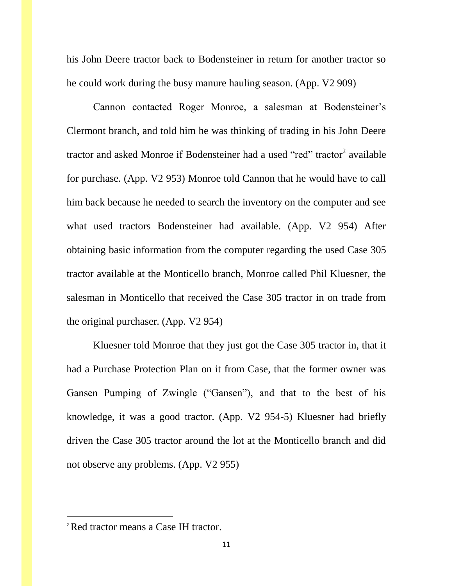his John Deere tractor back to Bodensteiner in return for another tractor so he could work during the busy manure hauling season. (App. V2 909)

Cannon contacted Roger Monroe, a salesman at Bodensteiner's Clermont branch, and told him he was thinking of trading in his John Deere tractor and asked Monroe if Bodensteiner had a used "red" tractor<sup>2</sup> available for purchase. (App. V2 953) Monroe told Cannon that he would have to call him back because he needed to search the inventory on the computer and see what used tractors Bodensteiner had available. (App. V2 954) After obtaining basic information from the computer regarding the used Case 305 tractor available at the Monticello branch, Monroe called Phil Kluesner, the salesman in Monticello that received the Case 305 tractor in on trade from the original purchaser. (App. V2 954)

Kluesner told Monroe that they just got the Case 305 tractor in, that it had a Purchase Protection Plan on it from Case, that the former owner was Gansen Pumping of Zwingle ("Gansen"), and that to the best of his knowledge, it was a good tractor. (App. V2 954-5) Kluesner had briefly driven the Case 305 tractor around the lot at the Monticello branch and did not observe any problems. (App. V2 955)

l

<sup>2</sup>Red tractor means a Case IH tractor.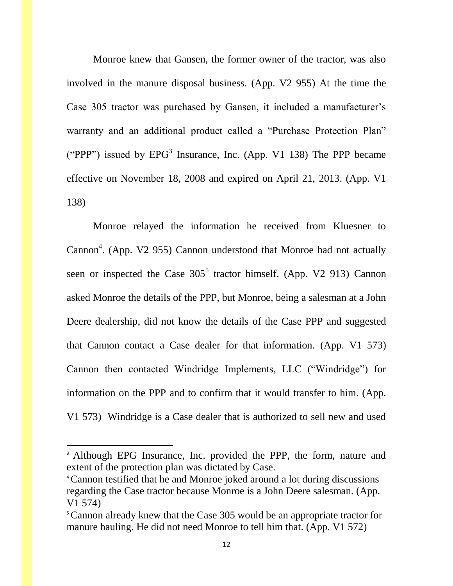Monroe knew that Gansen, the former owner of the tractor, was also involved in the manure disposal business. (App. V2 955) At the time the Case 305 tractor was purchased by Gansen, it included a manufacturer's warranty and an additional product called a "Purchase Protection Plan" ("PPP") issued by  $EPG<sup>3</sup>$  Insurance, Inc. (App. V1 138) The PPP became effective on November 18, 2008 and expired on April 21, 2013. (App. V1 138)

Monroe relayed the information he received from Kluesner to Cannon<sup>4</sup>. (App. V2 955) Cannon understood that Monroe had not actually seen or inspected the Case  $305^5$  tractor himself. (App. V2 913) Cannon asked Monroe the details of the PPP, but Monroe, being a salesman at a John Deere dealership, did not know the details of the Case PPP and suggested that Cannon contact a Case dealer for that information. (App. V1 573) Cannon then contacted Windridge Implements, LLC ("Windridge") for information on the PPP and to confirm that it would transfer to him. (App. V1 573) Windridge is a Case dealer that is authorized to sell new and used

 $\overline{\phantom{a}}$ 

<sup>&</sup>lt;sup>3</sup> Although EPG Insurance, Inc. provided the PPP, the form, nature and extent of the protection plan was dictated by Case.

<sup>4</sup>Cannon testified that he and Monroe joked around a lot during discussions regarding the Case tractor because Monroe is a John Deere salesman. (App. V1 574)

<sup>&</sup>lt;sup>5</sup>Cannon already knew that the Case 305 would be an appropriate tractor for manure hauling. He did not need Monroe to tell him that. (App. V1 572)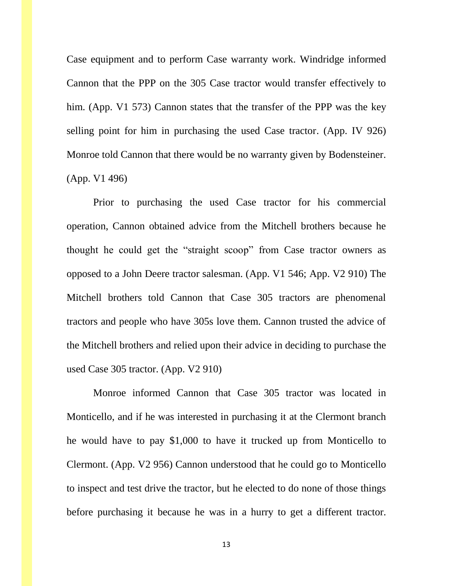Case equipment and to perform Case warranty work. Windridge informed Cannon that the PPP on the 305 Case tractor would transfer effectively to him. (App. V1 573) Cannon states that the transfer of the PPP was the key selling point for him in purchasing the used Case tractor. (App. IV 926) Monroe told Cannon that there would be no warranty given by Bodensteiner. (App. V1 496)

Prior to purchasing the used Case tractor for his commercial operation, Cannon obtained advice from the Mitchell brothers because he thought he could get the "straight scoop" from Case tractor owners as opposed to a John Deere tractor salesman. (App. V1 546; App. V2 910) The Mitchell brothers told Cannon that Case 305 tractors are phenomenal tractors and people who have 305s love them. Cannon trusted the advice of the Mitchell brothers and relied upon their advice in deciding to purchase the used Case 305 tractor. (App. V2 910)

Monroe informed Cannon that Case 305 tractor was located in Monticello, and if he was interested in purchasing it at the Clermont branch he would have to pay \$1,000 to have it trucked up from Monticello to Clermont. (App. V2 956) Cannon understood that he could go to Monticello to inspect and test drive the tractor, but he elected to do none of those things before purchasing it because he was in a hurry to get a different tractor.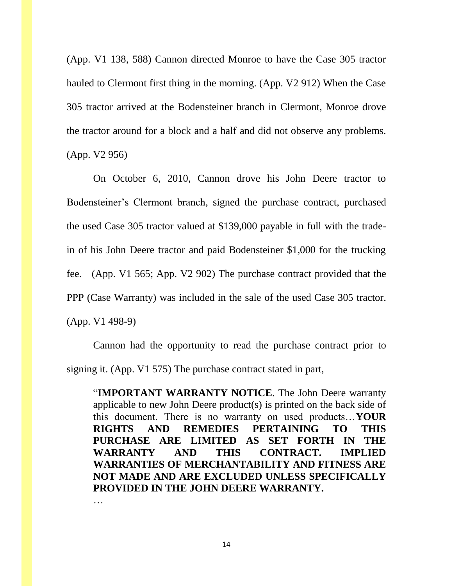(App. V1 138, 588) Cannon directed Monroe to have the Case 305 tractor hauled to Clermont first thing in the morning. (App. V2 912) When the Case 305 tractor arrived at the Bodensteiner branch in Clermont, Monroe drove the tractor around for a block and a half and did not observe any problems. (App. V2 956)

On October 6, 2010, Cannon drove his John Deere tractor to Bodensteiner's Clermont branch, signed the purchase contract, purchased the used Case 305 tractor valued at \$139,000 payable in full with the tradein of his John Deere tractor and paid Bodensteiner \$1,000 for the trucking fee. (App. V1 565; App. V2 902) The purchase contract provided that the PPP (Case Warranty) was included in the sale of the used Case 305 tractor. (App. V1 498-9)

Cannon had the opportunity to read the purchase contract prior to signing it. (App. V1 575) The purchase contract stated in part,

"**IMPORTANT WARRANTY NOTICE**. The John Deere warranty applicable to new John Deere product(s) is printed on the back side of this document. There is no warranty on used products…**YOUR RIGHTS AND REMEDIES PERTAINING TO THIS PURCHASE ARE LIMITED AS SET FORTH IN THE WARRANTY AND THIS CONTRACT. IMPLIED WARRANTIES OF MERCHANTABILITY AND FITNESS ARE NOT MADE AND ARE EXCLUDED UNLESS SPECIFICALLY PROVIDED IN THE JOHN DEERE WARRANTY.**

14

…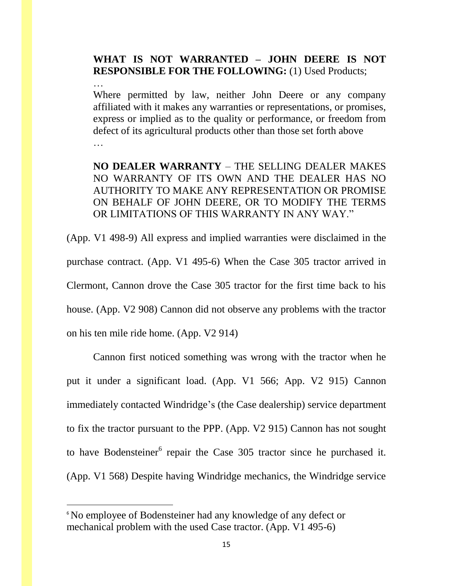## **WHAT IS NOT WARRANTED – JOHN DEERE IS NOT RESPONSIBLE FOR THE FOLLOWING:** (1) Used Products;

…

 $\overline{\phantom{a}}$ 

Where permitted by law, neither John Deere or any company affiliated with it makes any warranties or representations, or promises, express or implied as to the quality or performance, or freedom from defect of its agricultural products other than those set forth above …

**NO DEALER WARRANTY** – THE SELLING DEALER MAKES NO WARRANTY OF ITS OWN AND THE DEALER HAS NO AUTHORITY TO MAKE ANY REPRESENTATION OR PROMISE ON BEHALF OF JOHN DEERE, OR TO MODIFY THE TERMS OR LIMITATIONS OF THIS WARRANTY IN ANY WAY."

(App. V1 498-9) All express and implied warranties were disclaimed in the purchase contract. (App. V1 495-6) When the Case 305 tractor arrived in Clermont, Cannon drove the Case 305 tractor for the first time back to his house. (App. V2 908) Cannon did not observe any problems with the tractor on his ten mile ride home. (App. V2 914)

Cannon first noticed something was wrong with the tractor when he put it under a significant load. (App. V1 566; App. V2 915) Cannon immediately contacted Windridge's (the Case dealership) service department to fix the tractor pursuant to the PPP. (App. V2 915) Cannon has not sought to have Bodensteiner $6$  repair the Case 305 tractor since he purchased it. (App. V1 568) Despite having Windridge mechanics, the Windridge service

<sup>&</sup>lt;sup>6</sup> No employee of Bodensteiner had any knowledge of any defect or mechanical problem with the used Case tractor. (App. V1 495-6)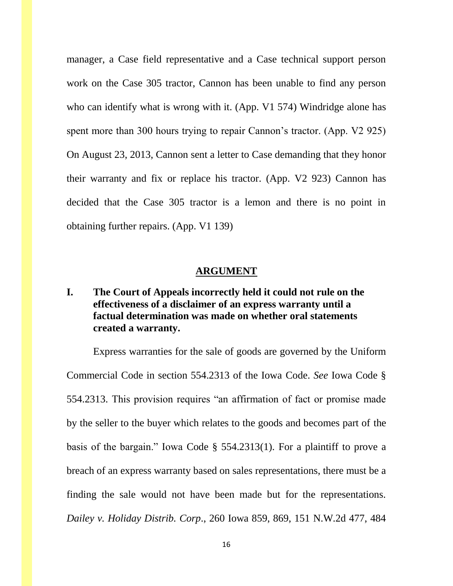manager, a Case field representative and a Case technical support person work on the Case 305 tractor, Cannon has been unable to find any person who can identify what is wrong with it. (App. V1 574) Windridge alone has spent more than 300 hours trying to repair Cannon's tractor. (App. V2 925) On August 23, 2013, Cannon sent a letter to Case demanding that they honor their warranty and fix or replace his tractor. (App. V2 923) Cannon has decided that the Case 305 tractor is a lemon and there is no point in obtaining further repairs. (App. V1 139)

### **ARGUMENT**

## **I. The Court of Appeals incorrectly held it could not rule on the effectiveness of a disclaimer of an express warranty until a factual determination was made on whether oral statements created a warranty.**

Express warranties for the sale of goods are governed by the Uniform Commercial Code in section 554.2313 of the Iowa Code. *See* Iowa Code § 554.2313. This provision requires "an affirmation of fact or promise made by the seller to the buyer which relates to the goods and becomes part of the basis of the bargain." Iowa Code § 554.2313(1). For a plaintiff to prove a breach of an express warranty based on sales representations, there must be a finding the sale would not have been made but for the representations. *Dailey v. Holiday Distrib. Corp*., 260 Iowa 859, 869, 151 N.W.2d 477, 484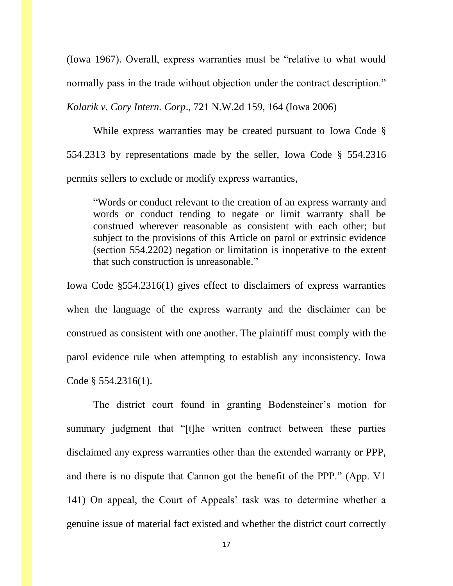(Iowa 1967). Overall, express warranties must be "relative to what would normally pass in the trade without objection under the contract description."

*Kolarik v. Cory Intern. Corp*., 721 N.W.2d 159, 164 (Iowa 2006)

While express warranties may be created pursuant to Iowa Code § 554.2313 by representations made by the seller, Iowa Code § 554.2316 permits sellers to exclude or modify express warranties,

"Words or conduct relevant to the creation of an express warranty and words or conduct tending to negate or limit warranty shall be construed wherever reasonable as consistent with each other; but subject to the provisions of this Article on parol or extrinsic evidence (section 554.2202) negation or limitation is inoperative to the extent that such construction is unreasonable."

Iowa Code §554.2316(1) gives effect to disclaimers of express warranties when the language of the express warranty and the disclaimer can be construed as consistent with one another. The plaintiff must comply with the parol evidence rule when attempting to establish any inconsistency. Iowa Code § 554.2316(1).

The district court found in granting Bodensteiner's motion for summary judgment that "[t]he written contract between these parties disclaimed any express warranties other than the extended warranty or PPP, and there is no dispute that Cannon got the benefit of the PPP." (App. V1 141) On appeal, the Court of Appeals' task was to determine whether a genuine issue of material fact existed and whether the district court correctly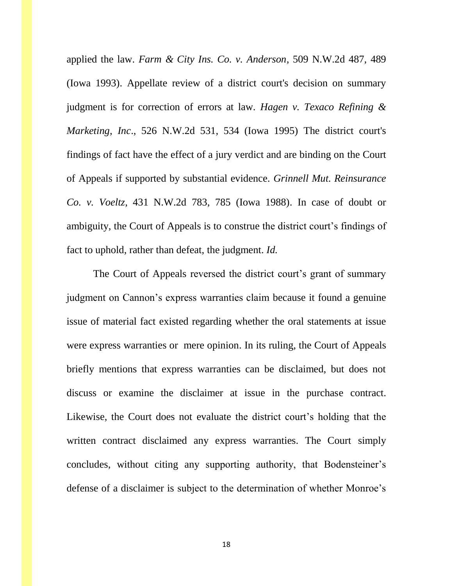applied the law. *Farm & City Ins. Co. v. Anderson*, 509 N.W.2d 487, 489 (Iowa 1993). Appellate review of a district court's decision on summary judgment is for correction of errors at law. *Hagen v. Texaco Refining & Marketing, Inc*., 526 N.W.2d 531, 534 (Iowa 1995) The district court's findings of fact have the effect of a jury verdict and are binding on the Court of Appeals if supported by substantial evidence. *Grinnell Mut. Reinsurance Co. v. Voeltz*, 431 N.W.2d 783, 785 (Iowa 1988). In case of doubt or ambiguity, the Court of Appeals is to construe the district court's findings of fact to uphold, rather than defeat, the judgment. *Id.*

The Court of Appeals reversed the district court's grant of summary judgment on Cannon's express warranties claim because it found a genuine issue of material fact existed regarding whether the oral statements at issue were express warranties or mere opinion. In its ruling, the Court of Appeals briefly mentions that express warranties can be disclaimed, but does not discuss or examine the disclaimer at issue in the purchase contract. Likewise, the Court does not evaluate the district court's holding that the written contract disclaimed any express warranties. The Court simply concludes, without citing any supporting authority, that Bodensteiner's defense of a disclaimer is subject to the determination of whether Monroe's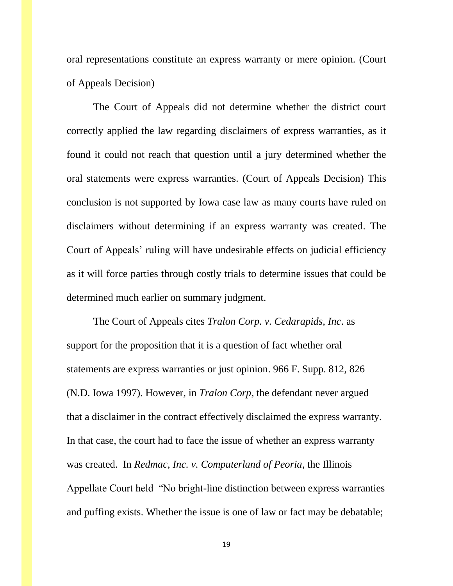oral representations constitute an express warranty or mere opinion. (Court of Appeals Decision)

The Court of Appeals did not determine whether the district court correctly applied the law regarding disclaimers of express warranties, as it found it could not reach that question until a jury determined whether the oral statements were express warranties. (Court of Appeals Decision) This conclusion is not supported by Iowa case law as many courts have ruled on disclaimers without determining if an express warranty was created. The Court of Appeals' ruling will have undesirable effects on judicial efficiency as it will force parties through costly trials to determine issues that could be determined much earlier on summary judgment.

The Court of Appeals cites *Tralon Corp. v. Cedarapids, Inc*. as support for the proposition that it is a question of fact whether oral statements are express warranties or just opinion. 966 F. Supp. 812, 826 (N.D. Iowa 1997). However, in *Tralon Corp*, the defendant never argued that a disclaimer in the contract effectively disclaimed the express warranty. In that case, the court had to face the issue of whether an express warranty was created. In *Redmac, Inc. v. Computerland of Peoria*, the Illinois Appellate Court held "No bright-line distinction between express warranties and puffing exists. Whether the issue is one of law or fact may be debatable;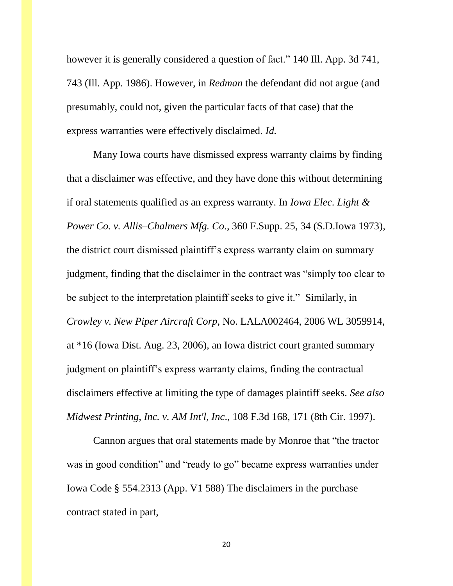however it is generally considered a question of fact." 140 Ill. App. 3d 741, 743 (Ill. App. 1986). However, in *Redman* the defendant did not argue (and presumably, could not, given the particular facts of that case) that the express warranties were effectively disclaimed. *Id.*

Many Iowa courts have dismissed express warranty claims by finding that a disclaimer was effective, and they have done this without determining if oral statements qualified as an express warranty. In *Iowa Elec. Light & Power Co. v. Allis–Chalmers Mfg. Co*., 360 F.Supp. 25, 34 (S.D.Iowa 1973), the district court dismissed plaintiff's express warranty claim on summary judgment, finding that the disclaimer in the contract was "simply too clear to be subject to the interpretation plaintiff seeks to give it." Similarly, in *Crowley v. New Piper Aircraft Corp*, No. LALA002464, 2006 WL 3059914, at \*16 (Iowa Dist. Aug. 23, 2006), an Iowa district court granted summary judgment on plaintiff's express warranty claims, finding the contractual disclaimers effective at limiting the type of damages plaintiff seeks. *See also Midwest Printing, Inc. v. AM Int'l, Inc*., 108 F.3d 168, 171 (8th Cir. 1997).

Cannon argues that oral statements made by Monroe that "the tractor was in good condition" and "ready to go" became express warranties under Iowa Code § 554.2313 (App. V1 588) The disclaimers in the purchase contract stated in part,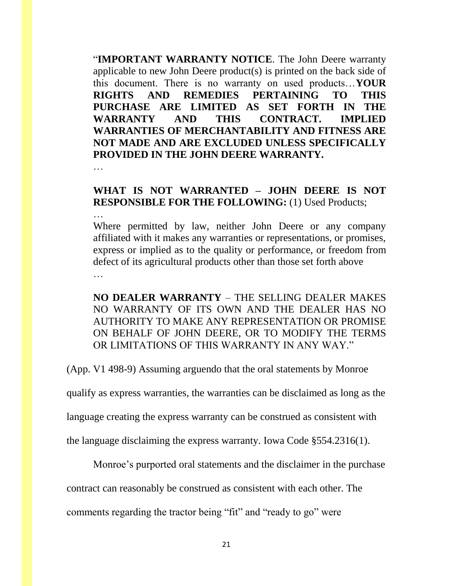"**IMPORTANT WARRANTY NOTICE**. The John Deere warranty applicable to new John Deere product(s) is printed on the back side of this document. There is no warranty on used products…**YOUR RIGHTS AND REMEDIES PERTAINING TO THIS PURCHASE ARE LIMITED AS SET FORTH IN THE WARRANTY AND THIS CONTRACT. IMPLIED WARRANTIES OF MERCHANTABILITY AND FITNESS ARE NOT MADE AND ARE EXCLUDED UNLESS SPECIFICALLY PROVIDED IN THE JOHN DEERE WARRANTY.**

## …

…

## **WHAT IS NOT WARRANTED – JOHN DEERE IS NOT RESPONSIBLE FOR THE FOLLOWING:** (1) Used Products;

Where permitted by law, neither John Deere or any company affiliated with it makes any warranties or representations, or promises, express or implied as to the quality or performance, or freedom from defect of its agricultural products other than those set forth above …

**NO DEALER WARRANTY** – THE SELLING DEALER MAKES NO WARRANTY OF ITS OWN AND THE DEALER HAS NO AUTHORITY TO MAKE ANY REPRESENTATION OR PROMISE ON BEHALF OF JOHN DEERE, OR TO MODIFY THE TERMS OR LIMITATIONS OF THIS WARRANTY IN ANY WAY."

(App. V1 498-9) Assuming arguendo that the oral statements by Monroe

qualify as express warranties, the warranties can be disclaimed as long as the

language creating the express warranty can be construed as consistent with

the language disclaiming the express warranty. Iowa Code §554.2316(1).

Monroe's purported oral statements and the disclaimer in the purchase

contract can reasonably be construed as consistent with each other. The

comments regarding the tractor being "fit" and "ready to go" were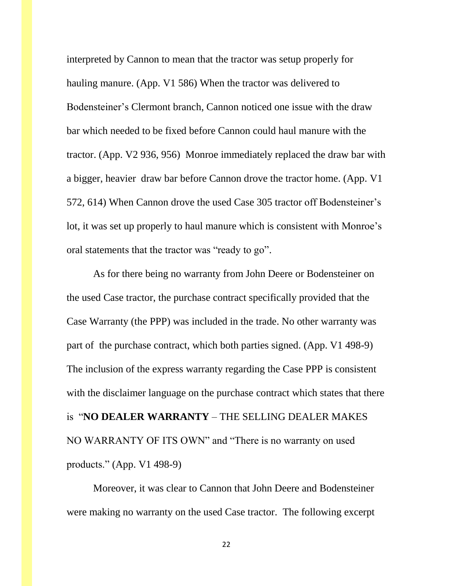interpreted by Cannon to mean that the tractor was setup properly for hauling manure. (App. V1 586) When the tractor was delivered to Bodensteiner's Clermont branch, Cannon noticed one issue with the draw bar which needed to be fixed before Cannon could haul manure with the tractor. (App. V2 936, 956) Monroe immediately replaced the draw bar with a bigger, heavier draw bar before Cannon drove the tractor home. (App. V1 572, 614) When Cannon drove the used Case 305 tractor off Bodensteiner's lot, it was set up properly to haul manure which is consistent with Monroe's oral statements that the tractor was "ready to go".

As for there being no warranty from John Deere or Bodensteiner on the used Case tractor, the purchase contract specifically provided that the Case Warranty (the PPP) was included in the trade. No other warranty was part of the purchase contract, which both parties signed. (App. V1 498-9) The inclusion of the express warranty regarding the Case PPP is consistent with the disclaimer language on the purchase contract which states that there is "**NO DEALER WARRANTY** – THE SELLING DEALER MAKES NO WARRANTY OF ITS OWN" and "There is no warranty on used products." (App. V1 498-9)

Moreover, it was clear to Cannon that John Deere and Bodensteiner were making no warranty on the used Case tractor. The following excerpt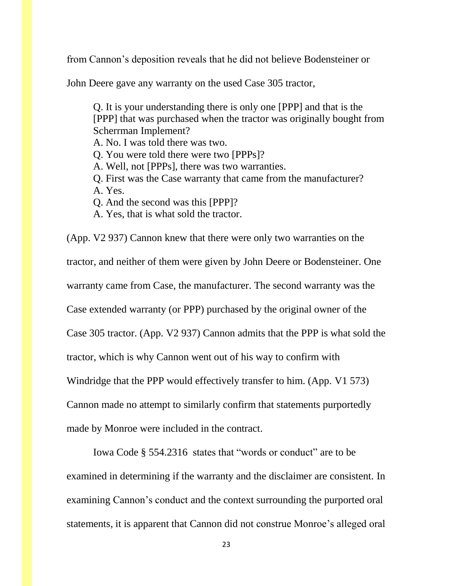from Cannon's deposition reveals that he did not believe Bodensteiner or

John Deere gave any warranty on the used Case 305 tractor,

Q. It is your understanding there is only one [PPP] and that is the [PPP] that was purchased when the tractor was originally bought from Scherrman Implement?

A. No. I was told there was two.

Q. You were told there were two [PPPs]?

A. Well, not [PPPs], there was two warranties.

- Q. First was the Case warranty that came from the manufacturer? A. Yes.
- Q. And the second was this [PPP]?
- A. Yes, that is what sold the tractor.

(App. V2 937) Cannon knew that there were only two warranties on the tractor, and neither of them were given by John Deere or Bodensteiner. One warranty came from Case, the manufacturer. The second warranty was the Case extended warranty (or PPP) purchased by the original owner of the Case 305 tractor. (App. V2 937) Cannon admits that the PPP is what sold the tractor, which is why Cannon went out of his way to confirm with Windridge that the PPP would effectively transfer to him. (App. V1 573) Cannon made no attempt to similarly confirm that statements purportedly made by Monroe were included in the contract.

Iowa Code § 554.2316 states that "words or conduct" are to be examined in determining if the warranty and the disclaimer are consistent. In examining Cannon's conduct and the context surrounding the purported oral statements, it is apparent that Cannon did not construe Monroe's alleged oral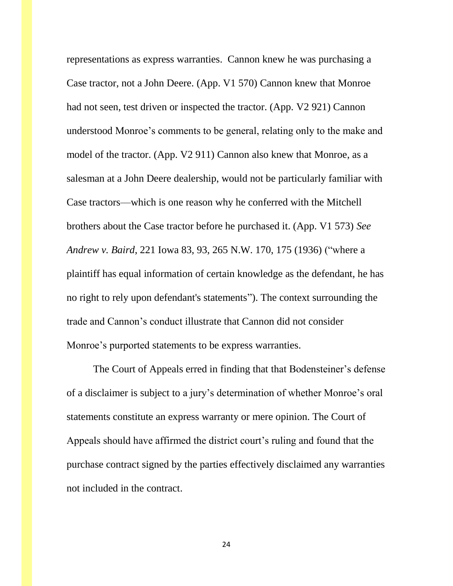representations as express warranties. Cannon knew he was purchasing a Case tractor, not a John Deere. (App. V1 570) Cannon knew that Monroe had not seen, test driven or inspected the tractor. (App. V2 921) Cannon understood Monroe's comments to be general, relating only to the make and model of the tractor. (App. V2 911) Cannon also knew that Monroe, as a salesman at a John Deere dealership, would not be particularly familiar with Case tractors—which is one reason why he conferred with the Mitchell brothers about the Case tractor before he purchased it. (App. V1 573) *See Andrew v. Baird*, 221 Iowa 83, 93, 265 N.W. 170, 175 (1936) ("where a plaintiff has equal information of certain knowledge as the defendant, he has no right to rely upon defendant's statements"). The context surrounding the trade and Cannon's conduct illustrate that Cannon did not consider Monroe's purported statements to be express warranties.

The Court of Appeals erred in finding that that Bodensteiner's defense of a disclaimer is subject to a jury's determination of whether Monroe's oral statements constitute an express warranty or mere opinion. The Court of Appeals should have affirmed the district court's ruling and found that the purchase contract signed by the parties effectively disclaimed any warranties not included in the contract.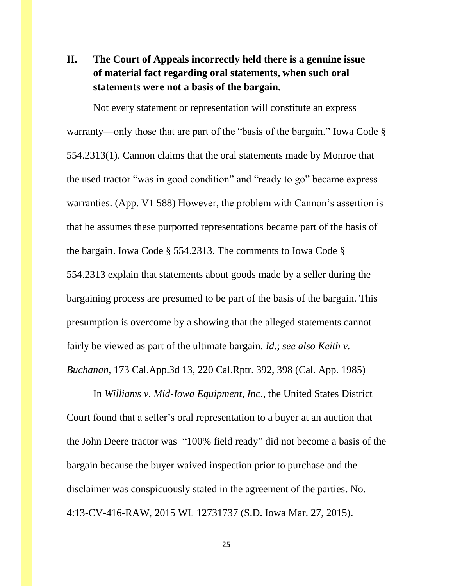# **II. The Court of Appeals incorrectly held there is a genuine issue of material fact regarding oral statements, when such oral statements were not a basis of the bargain.**

Not every statement or representation will constitute an express warranty—only those that are part of the "basis of the bargain." Iowa Code § 554.2313(1). Cannon claims that the oral statements made by Monroe that the used tractor "was in good condition" and "ready to go" became express warranties. (App. V1 588) However, the problem with Cannon's assertion is that he assumes these purported representations became part of the basis of the bargain. Iowa Code § 554.2313. The comments to Iowa Code § 554.2313 explain that statements about goods made by a seller during the bargaining process are presumed to be part of the basis of the bargain. This presumption is overcome by a showing that the alleged statements cannot fairly be viewed as part of the ultimate bargain. *Id*.; *see also Keith v. Buchanan,* 173 Cal.App.3d 13, 220 Cal.Rptr. 392, 398 (Cal. App. 1985)

In *Williams v. Mid-Iowa Equipment, Inc*., the United States District Court found that a seller's oral representation to a buyer at an auction that the John Deere tractor was "100% field ready" did not become a basis of the bargain because the buyer waived inspection prior to purchase and the disclaimer was conspicuously stated in the agreement of the parties. No. 4:13-CV-416-RAW, 2015 WL 12731737 (S.D. Iowa Mar. 27, 2015).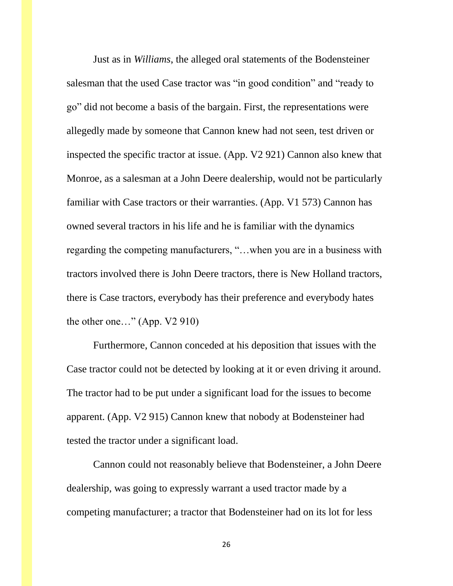Just as in *Williams*, the alleged oral statements of the Bodensteiner salesman that the used Case tractor was "in good condition" and "ready to go" did not become a basis of the bargain. First, the representations were allegedly made by someone that Cannon knew had not seen, test driven or inspected the specific tractor at issue. (App. V2 921) Cannon also knew that Monroe, as a salesman at a John Deere dealership, would not be particularly familiar with Case tractors or their warranties. (App. V1 573) Cannon has owned several tractors in his life and he is familiar with the dynamics regarding the competing manufacturers, "…when you are in a business with tractors involved there is John Deere tractors, there is New Holland tractors, there is Case tractors, everybody has their preference and everybody hates the other one…" (App. V2 910)

Furthermore, Cannon conceded at his deposition that issues with the Case tractor could not be detected by looking at it or even driving it around. The tractor had to be put under a significant load for the issues to become apparent. (App. V2 915) Cannon knew that nobody at Bodensteiner had tested the tractor under a significant load.

Cannon could not reasonably believe that Bodensteiner, a John Deere dealership, was going to expressly warrant a used tractor made by a competing manufacturer; a tractor that Bodensteiner had on its lot for less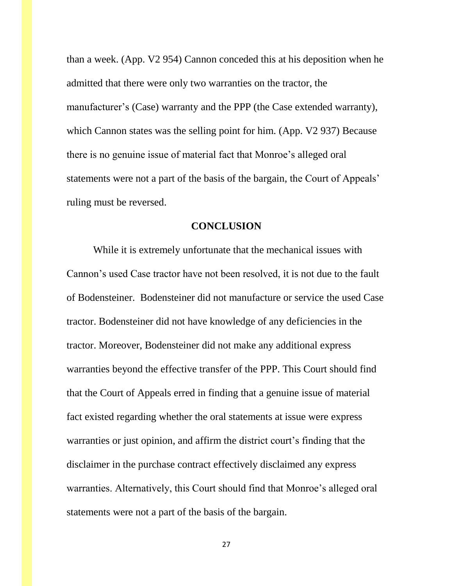than a week. (App. V2 954) Cannon conceded this at his deposition when he admitted that there were only two warranties on the tractor, the manufacturer's (Case) warranty and the PPP (the Case extended warranty), which Cannon states was the selling point for him. (App. V2 937) Because there is no genuine issue of material fact that Monroe's alleged oral statements were not a part of the basis of the bargain, the Court of Appeals' ruling must be reversed.

### **CONCLUSION**

While it is extremely unfortunate that the mechanical issues with Cannon's used Case tractor have not been resolved, it is not due to the fault of Bodensteiner. Bodensteiner did not manufacture or service the used Case tractor. Bodensteiner did not have knowledge of any deficiencies in the tractor. Moreover, Bodensteiner did not make any additional express warranties beyond the effective transfer of the PPP. This Court should find that the Court of Appeals erred in finding that a genuine issue of material fact existed regarding whether the oral statements at issue were express warranties or just opinion, and affirm the district court's finding that the disclaimer in the purchase contract effectively disclaimed any express warranties. Alternatively, this Court should find that Monroe's alleged oral statements were not a part of the basis of the bargain.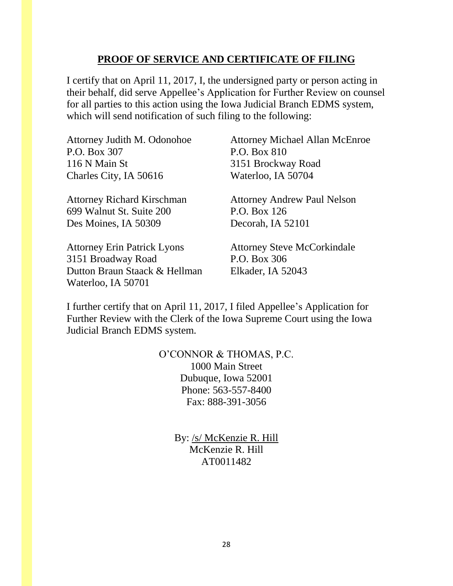## **PROOF OF SERVICE AND CERTIFICATE OF FILING**

I certify that on April 11, 2017, I, the undersigned party or person acting in their behalf, did serve Appellee's Application for Further Review on counsel for all parties to this action using the Iowa Judicial Branch EDMS system, which will send notification of such filing to the following:

| Attorney Judith M. Odonohoe        | <b>Attorney Michael Allan McEnroe</b> |  |
|------------------------------------|---------------------------------------|--|
| P.O. Box 307                       | P.O. Box 810                          |  |
| 116 N Main St                      | 3151 Brockway Road                    |  |
| Charles City, IA 50616             | Waterloo, IA 50704                    |  |
| <b>Attorney Richard Kirschman</b>  | <b>Attorney Andrew Paul Nelson</b>    |  |
| 699 Walnut St. Suite 200           | P.O. Box 126                          |  |
| Des Moines, IA 50309               | Decorah, IA 52101                     |  |
| <b>Attorney Erin Patrick Lyons</b> | <b>Attorney Steve McCorkindale</b>    |  |
| 3151 Broadway Road                 | P.O. Box 306                          |  |
| Dutton Braun Staack & Hellman      | Elkader, IA 52043                     |  |

I further certify that on April 11, 2017, I filed Appellee's Application for Further Review with the Clerk of the Iowa Supreme Court using the Iowa Judicial Branch EDMS system.

Waterloo, IA 50701

O'CONNOR & THOMAS, P.C. 1000 Main Street Dubuque, Iowa 52001 Phone: 563-557-8400 Fax: 888-391-3056

> By: /s/ McKenzie R. Hill McKenzie R. Hill AT0011482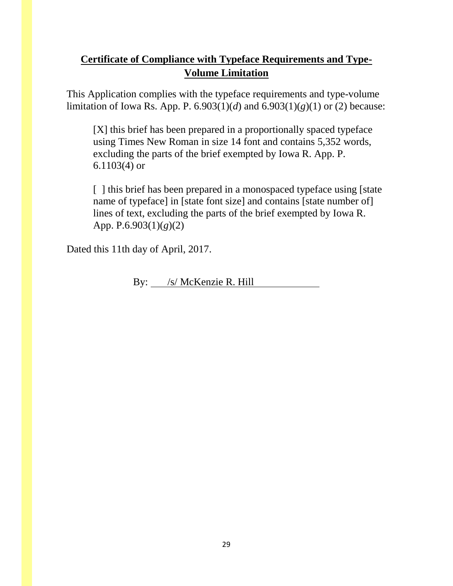# **Certificate of Compliance with Typeface Requirements and Type-Volume Limitation**

This Application complies with the typeface requirements and type-volume limitation of Iowa Rs. App. P.  $6.903(1)(d)$  and  $6.903(1)(g)(1)$  or (2) because:

[X] this brief has been prepared in a proportionally spaced typeface using Times New Roman in size 14 font and contains 5,352 words, excluding the parts of the brief exempted by Iowa R. App. P. 6.1103(4) or

[ ] this brief has been prepared in a monospaced typeface using [state] name of typeface] in [state font size] and contains [state number of] lines of text, excluding the parts of the brief exempted by Iowa R. App. P.6.903(1)(*g*)(2)

Dated this 11th day of April, 2017.

By: /s/ McKenzie R. Hill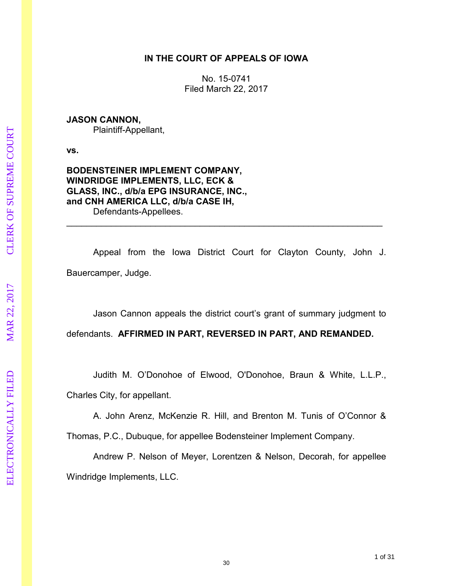### **IN THE COURT OF APPEALS OF IOWA**

No. 15-0741 Filed March 22, 2017

### **JASON CANNON,**

Plaintiff-Appellant,

**vs.** 

### **BODENSTEINER IMPLEMENT COMPANY, WINDRIDGE IMPLEMENTS, LLC, ECK & GLASS, INC., d/b/a EPG INSURANCE, INC., and CNH AMERICA LLC, d/b/a CASE IH,**  Defendants-Appellees.

 Appeal from the Iowa District Court for Clayton County, John J. Bauercamper, Judge.

\_\_\_\_\_\_\_\_\_\_\_\_\_\_\_\_\_\_\_\_\_\_\_\_\_\_\_\_\_\_\_\_\_\_\_\_\_\_\_\_\_\_\_\_\_\_\_\_\_\_\_\_\_\_\_\_\_\_\_\_\_\_\_\_

Jason Cannon appeals the district court's grant of summary judgment to

defendants. **AFFIRMED IN PART, REVERSED IN PART, AND REMANDED.** 

 Judith M. O'Donohoe of Elwood, O'Donohoe, Braun & White, L.L.P., Charles City, for appellant.

 A. John Arenz, McKenzie R. Hill, and Brenton M. Tunis of O'Connor & Thomas, P.C., Dubuque, for appellee Bodensteiner Implement Company.

 Andrew P. Nelson of Meyer, Lorentzen & Nelson, Decorah, for appellee Windridge Implements, LLC.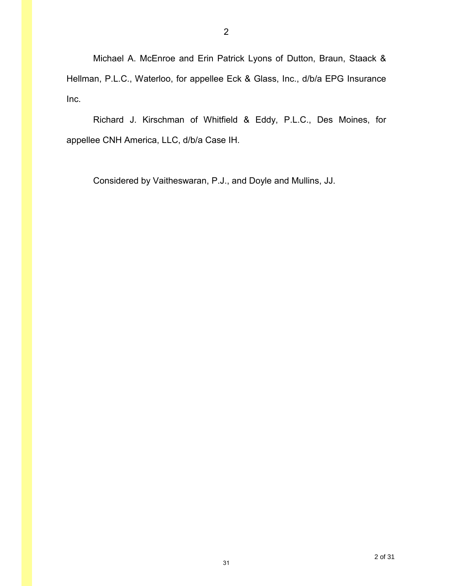Michael A. McEnroe and Erin Patrick Lyons of Dutton, Braun, Staack & Hellman, P.L.C., Waterloo, for appellee Eck & Glass, Inc., d/b/a EPG Insurance Inc.

 Richard J. Kirschman of Whitfield & Eddy, P.L.C., Des Moines, for appellee CNH America, LLC, d/b/a Case IH.

Considered by Vaitheswaran, P.J., and Doyle and Mullins, JJ.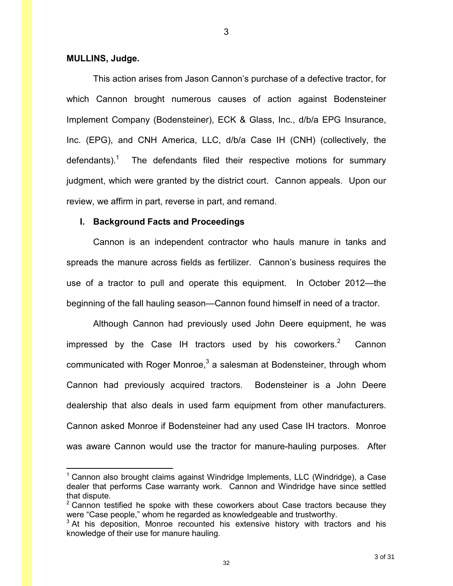#### **MULLINS, Judge.**

 $\overline{a}$ 

 This action arises from Jason Cannon's purchase of a defective tractor, for which Cannon brought numerous causes of action against Bodensteiner Implement Company (Bodensteiner), ECK & Glass, Inc., d/b/a EPG Insurance, Inc. (EPG), and CNH America, LLC, d/b/a Case IH (CNH) (collectively, the defendants).<sup>1</sup> The defendants filed their respective motions for summary judgment, which were granted by the district court. Cannon appeals. Upon our review, we affirm in part, reverse in part, and remand.

3

#### **I. Background Facts and Proceedings**

Cannon is an independent contractor who hauls manure in tanks and spreads the manure across fields as fertilizer. Cannon's business requires the use of a tractor to pull and operate this equipment. In October 2012—the beginning of the fall hauling season—Cannon found himself in need of a tractor.

Although Cannon had previously used John Deere equipment, he was impressed by the Case IH tractors used by his coworkers. $2$  Cannon communicated with Roger Monroe, $^3$  a salesman at Bodensteiner, through whom Cannon had previously acquired tractors. Bodensteiner is a John Deere dealership that also deals in used farm equipment from other manufacturers. Cannon asked Monroe if Bodensteiner had any used Case IH tractors. Monroe was aware Cannon would use the tractor for manure-hauling purposes. After

<sup>&</sup>lt;sup>1</sup> Cannon also brought claims against Windridge Implements, LLC (Windridge), a Case dealer that performs Case warranty work. Cannon and Windridge have since settled that dispute.

 $2$  Cannon testified he spoke with these coworkers about Case tractors because they were "Case people," whom he regarded as knowledgeable and trustworthy.

 $3$  At his deposition, Monroe recounted his extensive history with tractors and his knowledge of their use for manure hauling.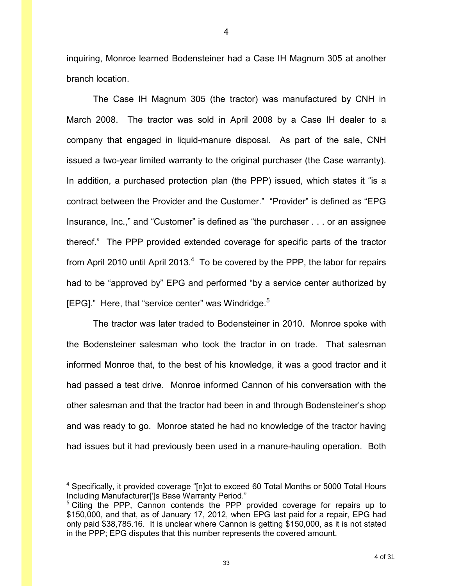inquiring, Monroe learned Bodensteiner had a Case IH Magnum 305 at another branch location.

The Case IH Magnum 305 (the tractor) was manufactured by CNH in March 2008. The tractor was sold in April 2008 by a Case IH dealer to a company that engaged in liquid-manure disposal. As part of the sale, CNH issued a two-year limited warranty to the original purchaser (the Case warranty). In addition, a purchased protection plan (the PPP) issued, which states it "is a contract between the Provider and the Customer." "Provider" is defined as "EPG Insurance, Inc.," and "Customer" is defined as "the purchaser . . . or an assignee thereof." The PPP provided extended coverage for specific parts of the tractor from April 2010 until April 2013. $4$  To be covered by the PPP, the labor for repairs had to be "approved by" EPG and performed "by a service center authorized by [EPG]." Here, that "service center" was Windridge. $5$ 

The tractor was later traded to Bodensteiner in 2010. Monroe spoke with the Bodensteiner salesman who took the tractor in on trade. That salesman informed Monroe that, to the best of his knowledge, it was a good tractor and it had passed a test drive. Monroe informed Cannon of his conversation with the other salesman and that the tractor had been in and through Bodensteiner's shop and was ready to go. Monroe stated he had no knowledge of the tractor having had issues but it had previously been used in a manure-hauling operation. Both

 $\overline{a}$ 

<sup>&</sup>lt;sup>4</sup> Specifically, it provided coverage "[n]ot to exceed 60 Total Months or 5000 Total Hours Including Manufacturer[']s Base Warranty Period."

<sup>&</sup>lt;sup>5</sup> Citing the PPP, Cannon contends the PPP provided coverage for repairs up to \$150,000, and that, as of January 17, 2012, when EPG last paid for a repair, EPG had only paid \$38,785.16. It is unclear where Cannon is getting \$150,000, as it is not stated in the PPP; EPG disputes that this number represents the covered amount.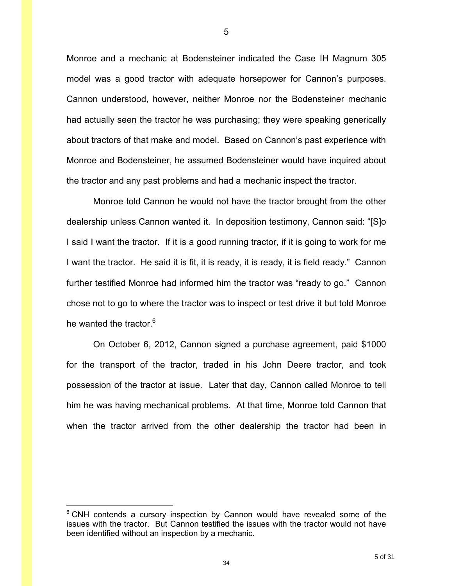Monroe and a mechanic at Bodensteiner indicated the Case IH Magnum 305 model was a good tractor with adequate horsepower for Cannon's purposes. Cannon understood, however, neither Monroe nor the Bodensteiner mechanic had actually seen the tractor he was purchasing; they were speaking generically about tractors of that make and model. Based on Cannon's past experience with Monroe and Bodensteiner, he assumed Bodensteiner would have inquired about the tractor and any past problems and had a mechanic inspect the tractor.

Monroe told Cannon he would not have the tractor brought from the other dealership unless Cannon wanted it. In deposition testimony, Cannon said: "[S]o I said I want the tractor. If it is a good running tractor, if it is going to work for me I want the tractor. He said it is fit, it is ready, it is ready, it is field ready." Cannon further testified Monroe had informed him the tractor was "ready to go." Cannon chose not to go to where the tractor was to inspect or test drive it but told Monroe he wanted the tractor.<sup>6</sup>

On October 6, 2012, Cannon signed a purchase agreement, paid \$1000 for the transport of the tractor, traded in his John Deere tractor, and took possession of the tractor at issue. Later that day, Cannon called Monroe to tell him he was having mechanical problems. At that time, Monroe told Cannon that when the tractor arrived from the other dealership the tractor had been in

 $\overline{a}$ 

<sup>&</sup>lt;sup>6</sup> CNH contends a cursory inspection by Cannon would have revealed some of the issues with the tractor. But Cannon testified the issues with the tractor would not have been identified without an inspection by a mechanic.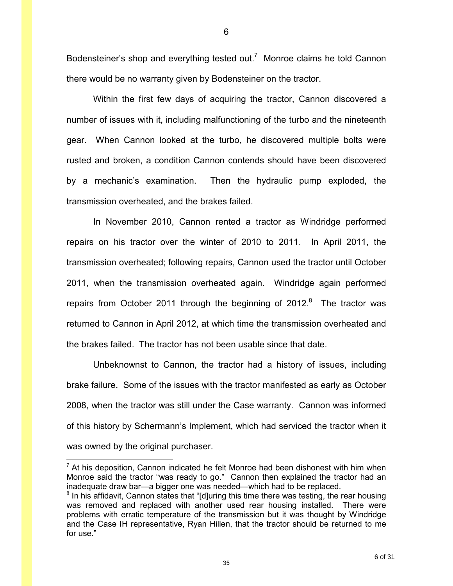Bodensteiner's shop and everything tested out.<sup>7</sup> Monroe claims he told Cannon there would be no warranty given by Bodensteiner on the tractor.

Within the first few days of acquiring the tractor, Cannon discovered a number of issues with it, including malfunctioning of the turbo and the nineteenth gear. When Cannon looked at the turbo, he discovered multiple bolts were rusted and broken, a condition Cannon contends should have been discovered by a mechanic's examination. Then the hydraulic pump exploded, the transmission overheated, and the brakes failed.

In November 2010, Cannon rented a tractor as Windridge performed repairs on his tractor over the winter of 2010 to 2011. In April 2011, the transmission overheated; following repairs, Cannon used the tractor until October 2011, when the transmission overheated again. Windridge again performed repairs from October 2011 through the beginning of 2012. $8$  The tractor was returned to Cannon in April 2012, at which time the transmission overheated and the brakes failed. The tractor has not been usable since that date.

Unbeknownst to Cannon, the tractor had a history of issues, including brake failure. Some of the issues with the tractor manifested as early as October 2008, when the tractor was still under the Case warranty. Cannon was informed of this history by Schermann's Implement, which had serviced the tractor when it was owned by the original purchaser.

 $\overline{a}$ 

 $<sup>7</sup>$  At his deposition, Cannon indicated he felt Monroe had been dishonest with him when</sup> Monroe said the tractor "was ready to go." Cannon then explained the tractor had an inadequate draw bar—a bigger one was needed—which had to be replaced.

 $8$  In his affidavit, Cannon states that "[d]uring this time there was testing, the rear housing was removed and replaced with another used rear housing installed. There were problems with erratic temperature of the transmission but it was thought by Windridge and the Case IH representative, Ryan Hillen, that the tractor should be returned to me for use."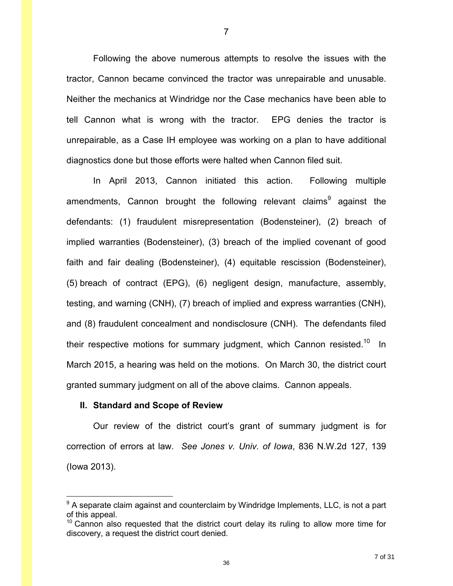Following the above numerous attempts to resolve the issues with the tractor, Cannon became convinced the tractor was unrepairable and unusable. Neither the mechanics at Windridge nor the Case mechanics have been able to tell Cannon what is wrong with the tractor. EPG denies the tractor is unrepairable, as a Case IH employee was working on a plan to have additional diagnostics done but those efforts were halted when Cannon filed suit.

 In April 2013, Cannon initiated this action. Following multiple amendments, Cannon brought the following relevant claims<sup>9</sup> against the defendants: (1) fraudulent misrepresentation (Bodensteiner), (2) breach of implied warranties (Bodensteiner), (3) breach of the implied covenant of good faith and fair dealing (Bodensteiner), (4) equitable rescission (Bodensteiner), (5) breach of contract (EPG), (6) negligent design, manufacture, assembly, testing, and warning (CNH), (7) breach of implied and express warranties (CNH), and (8) fraudulent concealment and nondisclosure (CNH). The defendants filed their respective motions for summary judgment, which Cannon resisted.<sup>10</sup> In March 2015, a hearing was held on the motions. On March 30, the district court granted summary judgment on all of the above claims. Cannon appeals.

#### **II. Standard and Scope of Review**

 $\overline{a}$ 

 Our review of the district court's grant of summary judgment is for correction of errors at law. *See Jones v. Univ. of Iowa*, 836 N.W.2d 127, 139 (Iowa 2013).

<sup>&</sup>lt;sup>9</sup> A separate claim against and counterclaim by Windridge Implements, LLC, is not a part of this appeal.

 $10$  Cannon also requested that the district court delay its ruling to allow more time for discovery, a request the district court denied.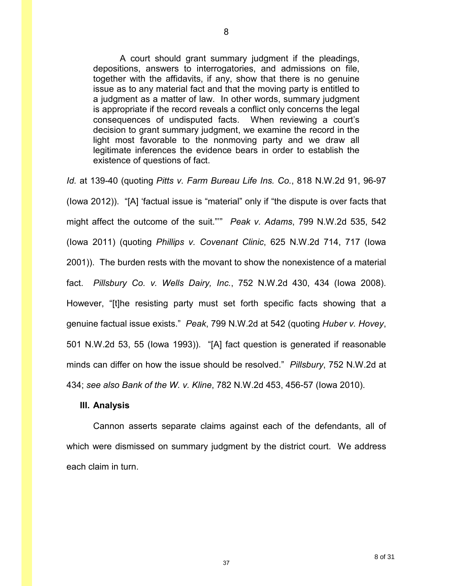A court should grant summary judgment if the pleadings, depositions, answers to interrogatories, and admissions on file, together with the affidavits, if any, show that there is no genuine issue as to any material fact and that the moving party is entitled to a judgment as a matter of law. In other words, summary judgment is appropriate if the record reveals a conflict only concerns the legal consequences of undisputed facts. When reviewing a court's decision to grant summary judgment, we examine the record in the light most favorable to the nonmoving party and we draw all legitimate inferences the evidence bears in order to establish the existence of questions of fact.

*Id.* at 139-40 (quoting *Pitts v. Farm Bureau Life Ins. Co.*, 818 N.W.2d 91, 96-97 (Iowa 2012)). "[A] 'factual issue is "material" only if "the dispute is over facts that might affect the outcome of the suit."'" *Peak v. Adams*, 799 N.W.2d 535, 542 (Iowa 2011) (quoting *Phillips v. Covenant Clinic*, 625 N.W.2d 714, 717 (Iowa 2001)). The burden rests with the movant to show the nonexistence of a material fact. *Pillsbury Co. v. Wells Dairy, Inc.*, 752 N.W.2d 430, 434 (Iowa 2008). However, "[t]he resisting party must set forth specific facts showing that a genuine factual issue exists." *Peak*, 799 N.W.2d at 542 (quoting *Huber v. Hovey*, 501 N.W.2d 53, 55 (Iowa 1993)). "[A] fact question is generated if reasonable minds can differ on how the issue should be resolved." *Pillsbury*, 752 N.W.2d at 434; *see also Bank of the W. v. Kline*, 782 N.W.2d 453, 456-57 (Iowa 2010).

#### **III. Analysis**

Cannon asserts separate claims against each of the defendants, all of which were dismissed on summary judgment by the district court. We address each claim in turn.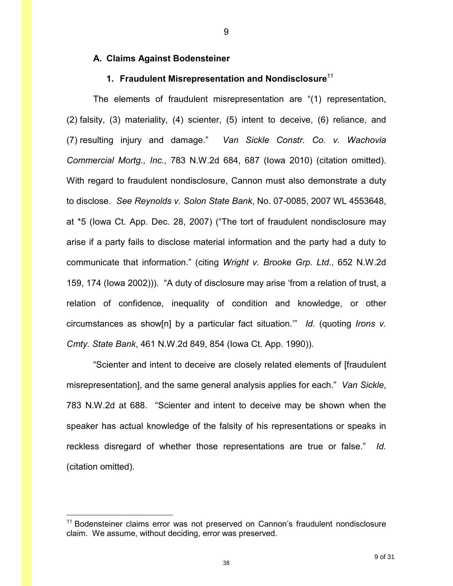#### **A. Claims Against Bodensteiner**

### **1. Fraudulent Misrepresentation and Nondisclosure**<sup>11</sup>

The elements of fraudulent misrepresentation are "(1) representation, (2) falsity, (3) materiality, (4) scienter, (5) intent to deceive, (6) reliance, and (7) resulting injury and damage." *Van Sickle Constr. Co. v. Wachovia Commercial Mortg., Inc.*, 783 N.W.2d 684, 687 (Iowa 2010) (citation omitted). With regard to fraudulent nondisclosure, Cannon must also demonstrate a duty to disclose. *See Reynolds v. Solon State Bank*, No. 07-0085, 2007 WL 4553648, at \*5 (Iowa Ct. App. Dec. 28, 2007) ("The tort of fraudulent nondisclosure may arise if a party fails to disclose material information and the party had a duty to communicate that information." (citing *Wright v. Brooke Grp. Ltd.*, 652 N.W.2d 159, 174 (Iowa 2002))). "A duty of disclosure may arise 'from a relation of trust, a relation of confidence, inequality of condition and knowledge, or other circumstances as show[n] by a particular fact situation.'" *Id.* (quoting *Irons v. Cmty. State Bank*, 461 N.W.2d 849, 854 (Iowa Ct. App. 1990)).

 "Scienter and intent to deceive are closely related elements of [fraudulent misrepresentation], and the same general analysis applies for each." *Van Sickle*, 783 N.W.2d at 688. "Scienter and intent to deceive may be shown when the speaker has actual knowledge of the falsity of his representations or speaks in reckless disregard of whether those representations are true or false." *Id.* (citation omitted).

 $\overline{a}$ 

<sup>&</sup>lt;sup>11</sup> Bodensteiner claims error was not preserved on Cannon's fraudulent nondisclosure claim. We assume, without deciding, error was preserved.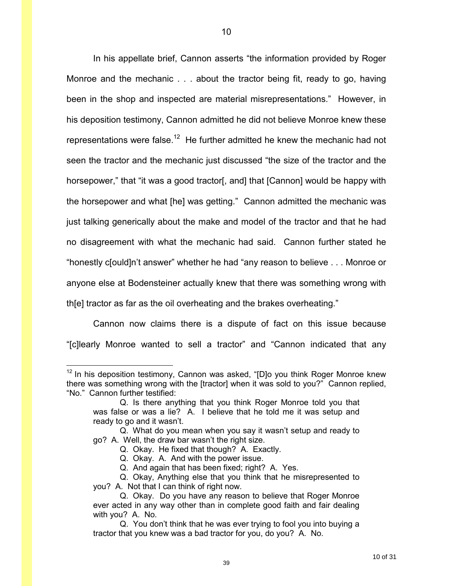In his appellate brief, Cannon asserts "the information provided by Roger Monroe and the mechanic . . . about the tractor being fit, ready to go, having been in the shop and inspected are material misrepresentations." However, in his deposition testimony, Cannon admitted he did not believe Monroe knew these representations were false.<sup>12</sup> He further admitted he knew the mechanic had not seen the tractor and the mechanic just discussed "the size of the tractor and the horsepower," that "it was a good tractor[, and] that [Cannon] would be happy with the horsepower and what [he] was getting." Cannon admitted the mechanic was just talking generically about the make and model of the tractor and that he had no disagreement with what the mechanic had said. Cannon further stated he "honestly c[ould]n't answer" whether he had "any reason to believe . . . Monroe or anyone else at Bodensteiner actually knew that there was something wrong with th[e] tractor as far as the oil overheating and the brakes overheating."

 Cannon now claims there is a dispute of fact on this issue because "[c]learly Monroe wanted to sell a tractor" and "Cannon indicated that any

- Q. Okay. He fixed that though? A. Exactly.
- Q. Okay. A. And with the power issue.

 $\overline{a}$ 

- Q. And again that has been fixed; right? A. Yes.
- Q. Okay, Anything else that you think that he misrepresented to you? A. Not that I can think of right now.

 $12$  In his deposition testimony, Cannon was asked, "[D]o you think Roger Monroe knew there was something wrong with the [tractor] when it was sold to you?" Cannon replied, "No." Cannon further testified:

Q. Is there anything that you think Roger Monroe told you that was false or was a lie? A. I believe that he told me it was setup and ready to go and it wasn't.

Q. What do you mean when you say it wasn't setup and ready to go? A. Well, the draw bar wasn't the right size.

Q. Okay. Do you have any reason to believe that Roger Monroe ever acted in any way other than in complete good faith and fair dealing with you? A. No.

Q. You don't think that he was ever trying to fool you into buying a tractor that you knew was a bad tractor for you, do you? A. No.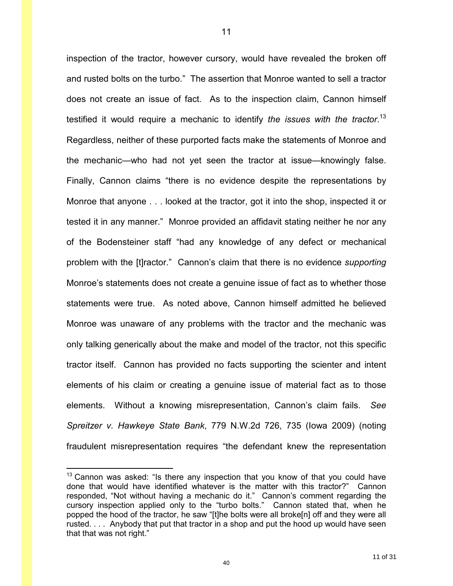inspection of the tractor, however cursory, would have revealed the broken off and rusted bolts on the turbo." The assertion that Monroe wanted to sell a tractor does not create an issue of fact. As to the inspection claim, Cannon himself testified it would require a mechanic to identify *the issues with the tractor*. 13 Regardless, neither of these purported facts make the statements of Monroe and the mechanic—who had not yet seen the tractor at issue—knowingly false. Finally, Cannon claims "there is no evidence despite the representations by Monroe that anyone . . . looked at the tractor, got it into the shop, inspected it or tested it in any manner." Monroe provided an affidavit stating neither he nor any of the Bodensteiner staff "had any knowledge of any defect or mechanical problem with the [t]ractor." Cannon's claim that there is no evidence *supporting*  Monroe's statements does not create a genuine issue of fact as to whether those statements were true. As noted above, Cannon himself admitted he believed Monroe was unaware of any problems with the tractor and the mechanic was only talking generically about the make and model of the tractor, not this specific tractor itself. Cannon has provided no facts supporting the scienter and intent elements of his claim or creating a genuine issue of material fact as to those elements. Without a knowing misrepresentation, Cannon's claim fails. *See Spreitzer v. Hawkeye State Bank*, 779 N.W.2d 726, 735 (Iowa 2009) (noting fraudulent misrepresentation requires "the defendant knew the representation

11

 $\overline{a}$ 

 $13$  Cannon was asked: "Is there any inspection that you know of that you could have done that would have identified whatever is the matter with this tractor?" Cannon responded, "Not without having a mechanic do it." Cannon's comment regarding the cursory inspection applied only to the "turbo bolts." Cannon stated that, when he popped the hood of the tractor, he saw "[t]he bolts were all broke[n] off and they were all rusted. . . . Anybody that put that tractor in a shop and put the hood up would have seen that that was not right."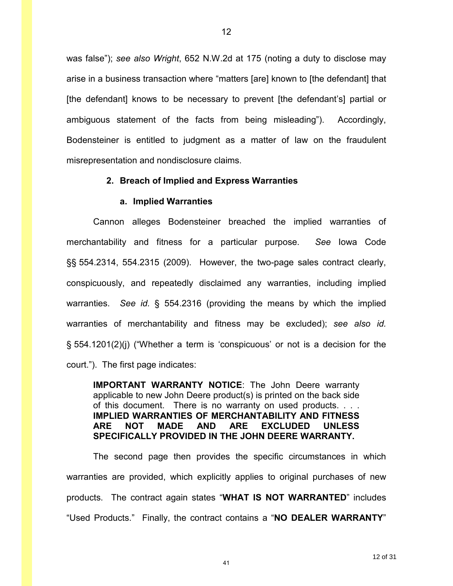was false"); *see also Wright*, 652 N.W.2d at 175 (noting a duty to disclose may arise in a business transaction where "matters [are] known to [the defendant] that [the defendant] knows to be necessary to prevent [the defendant's] partial or ambiguous statement of the facts from being misleading"). Accordingly, Bodensteiner is entitled to judgment as a matter of law on the fraudulent misrepresentation and nondisclosure claims.

### **2. Breach of Implied and Express Warranties**

#### **a. Implied Warranties**

Cannon alleges Bodensteiner breached the implied warranties of merchantability and fitness for a particular purpose. *See* Iowa Code §§ 554.2314, 554.2315 (2009). However, the two-page sales contract clearly, conspicuously, and repeatedly disclaimed any warranties, including implied warranties. *See id.* § 554.2316 (providing the means by which the implied warranties of merchantability and fitness may be excluded); *see also id.* § 554.1201(2)(j) ("Whether a term is 'conspicuous' or not is a decision for the court."). The first page indicates:

**IMPORTANT WARRANTY NOTICE**: The John Deere warranty applicable to new John Deere product(s) is printed on the back side of this document. There is no warranty on used products. . . . **IMPLIED WARRANTIES OF MERCHANTABILITY AND FITNESS ARE NOT MADE AND ARE EXCLUDED UNLESS SPECIFICALLY PROVIDED IN THE JOHN DEERE WARRANTY.** 

The second page then provides the specific circumstances in which warranties are provided, which explicitly applies to original purchases of new products. The contract again states "**WHAT IS NOT WARRANTED**" includes "Used Products." Finally, the contract contains a "**NO DEALER WARRANTY**"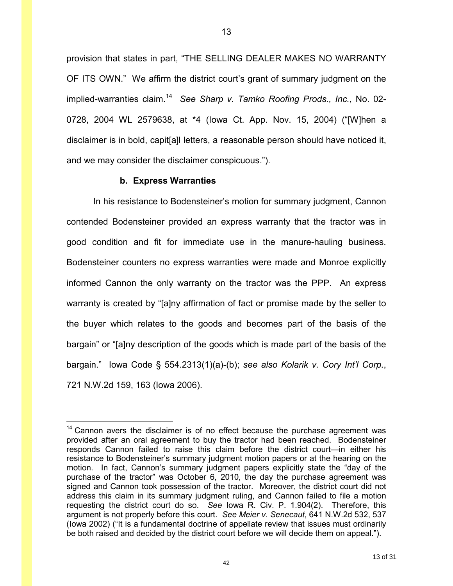provision that states in part, "THE SELLING DEALER MAKES NO WARRANTY OF ITS OWN." We affirm the district court's grant of summary judgment on the implied-warranties claim.<sup>14</sup> See Sharp v. Tamko Roofing Prods., Inc., No. 02-0728, 2004 WL 2579638, at \*4 (Iowa Ct. App. Nov. 15, 2004) ("[W]hen a disclaimer is in bold, capit[a]l letters, a reasonable person should have noticed it, and we may consider the disclaimer conspicuous.").

### **b. Express Warranties**

 $\overline{a}$ 

 In his resistance to Bodensteiner's motion for summary judgment, Cannon contended Bodensteiner provided an express warranty that the tractor was in good condition and fit for immediate use in the manure-hauling business. Bodensteiner counters no express warranties were made and Monroe explicitly informed Cannon the only warranty on the tractor was the PPP. An express warranty is created by "[a]ny affirmation of fact or promise made by the seller to the buyer which relates to the goods and becomes part of the basis of the bargain" or "[a]ny description of the goods which is made part of the basis of the bargain." Iowa Code § 554.2313(1)(a)-(b); *see also Kolarik v. Cory Int'l Corp.*, 721 N.W.2d 159, 163 (Iowa 2006).

42

13 of 31

 $14$  Cannon avers the disclaimer is of no effect because the purchase agreement was provided after an oral agreement to buy the tractor had been reached. Bodensteiner responds Cannon failed to raise this claim before the district court—in either his resistance to Bodensteiner's summary judgment motion papers or at the hearing on the motion. In fact, Cannon's summary judgment papers explicitly state the "day of the purchase of the tractor" was October 6, 2010, the day the purchase agreement was signed and Cannon took possession of the tractor. Moreover, the district court did not address this claim in its summary judgment ruling, and Cannon failed to file a motion requesting the district court do so. *See* Iowa R. Civ. P. 1.904(2). Therefore, this argument is not properly before this court. *See Meier v. Senecaut*, 641 N.W.2d 532, 537 (Iowa 2002) ("It is a fundamental doctrine of appellate review that issues must ordinarily be both raised and decided by the district court before we will decide them on appeal.").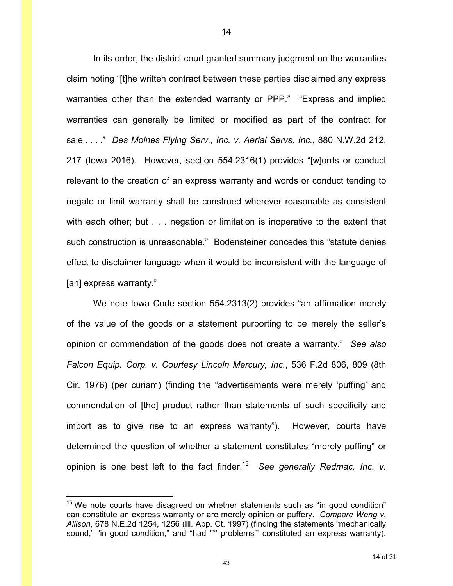In its order, the district court granted summary judgment on the warranties claim noting "[t]he written contract between these parties disclaimed any express warranties other than the extended warranty or PPP." "Express and implied warranties can generally be limited or modified as part of the contract for sale . . . ." *Des Moines Flying Serv., Inc. v. Aerial Servs. Inc.*, 880 N.W.2d 212, 217 (Iowa 2016). However, section 554.2316(1) provides "[w]ords or conduct relevant to the creation of an express warranty and words or conduct tending to negate or limit warranty shall be construed wherever reasonable as consistent with each other; but . . . negation or limitation is inoperative to the extent that such construction is unreasonable." Bodensteiner concedes this "statute denies effect to disclaimer language when it would be inconsistent with the language of [an] express warranty."

We note Iowa Code section 554.2313(2) provides "an affirmation merely of the value of the goods or a statement purporting to be merely the seller's opinion or commendation of the goods does not create a warranty." *See also Falcon Equip. Corp. v. Courtesy Lincoln Mercury, Inc.*, 536 F.2d 806, 809 (8th Cir. 1976) (per curiam) (finding the "advertisements were merely 'puffing' and commendation of [the] product rather than statements of such specificity and import as to give rise to an express warranty"). However, courts have determined the question of whether a statement constitutes "merely puffing" or opinion is one best left to the fact finder.<sup>15</sup> *See generally Redmac, Inc. v.* 

 $\overline{a}$ 

 $15$  We note courts have disagreed on whether statements such as "in good condition" can constitute an express warranty or are merely opinion or puffery. *Compare Weng v. Allison*, 678 N.E.2d 1254, 1256 (Ill. App. Ct. 1997) (finding the statements "mechanically sound," "in good condition," and "had "<sup>o</sup> problems" constituted an express warranty),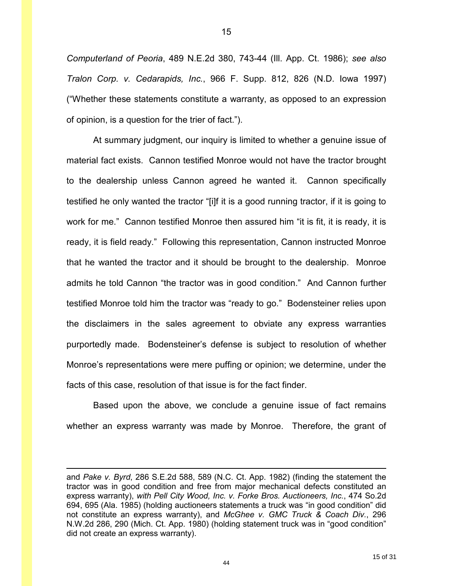*Computerland of Peoria*, 489 N.E.2d 380, 743-44 (Ill. App. Ct. 1986); *see also Tralon Corp. v. Cedarapids, Inc.*, 966 F. Supp. 812, 826 (N.D. Iowa 1997) ("Whether these statements constitute a warranty, as opposed to an expression of opinion, is a question for the trier of fact.").

At summary judgment, our inquiry is limited to whether a genuine issue of material fact exists. Cannon testified Monroe would not have the tractor brought to the dealership unless Cannon agreed he wanted it. Cannon specifically testified he only wanted the tractor "[i]f it is a good running tractor, if it is going to work for me." Cannon testified Monroe then assured him "it is fit, it is ready, it is ready, it is field ready." Following this representation, Cannon instructed Monroe that he wanted the tractor and it should be brought to the dealership. Monroe admits he told Cannon "the tractor was in good condition." And Cannon further testified Monroe told him the tractor was "ready to go." Bodensteiner relies upon the disclaimers in the sales agreement to obviate any express warranties purportedly made. Bodensteiner's defense is subject to resolution of whether Monroe's representations were mere puffing or opinion; we determine, under the facts of this case, resolution of that issue is for the fact finder.

Based upon the above, we conclude a genuine issue of fact remains whether an express warranty was made by Monroe. Therefore, the grant of

 $\overline{a}$ 

and *Pake v. Byrd*, 286 S.E.2d 588, 589 (N.C. Ct. App. 1982) (finding the statement the tractor was in good condition and free from major mechanical defects constituted an express warranty), *with Pell City Wood, Inc. v. Forke Bros. Auctioneers, Inc.*, 474 So.2d 694, 695 (Ala. 1985) (holding auctioneers statements a truck was "in good condition" did not constitute an express warranty), and *McGhee v. GMC Truck & Coach Div.*, 296 N.W.2d 286, 290 (Mich. Ct. App. 1980) (holding statement truck was in "good condition" did not create an express warranty).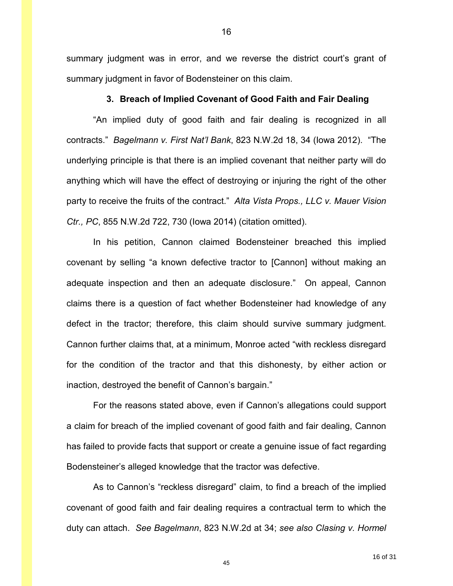summary judgment was in error, and we reverse the district court's grant of summary judgment in favor of Bodensteiner on this claim.

#### **3. Breach of Implied Covenant of Good Faith and Fair Dealing**

"An implied duty of good faith and fair dealing is recognized in all contracts." *Bagelmann v. First Nat'l Bank*, 823 N.W.2d 18, 34 (Iowa 2012). "The underlying principle is that there is an implied covenant that neither party will do anything which will have the effect of destroying or injuring the right of the other party to receive the fruits of the contract." *Alta Vista Props., LLC v. Mauer Vision Ctr., PC*, 855 N.W.2d 722, 730 (Iowa 2014) (citation omitted).

In his petition, Cannon claimed Bodensteiner breached this implied covenant by selling "a known defective tractor to [Cannon] without making an adequate inspection and then an adequate disclosure." On appeal, Cannon claims there is a question of fact whether Bodensteiner had knowledge of any defect in the tractor; therefore, this claim should survive summary judgment. Cannon further claims that, at a minimum, Monroe acted "with reckless disregard for the condition of the tractor and that this dishonesty, by either action or inaction, destroyed the benefit of Cannon's bargain."

 For the reasons stated above, even if Cannon's allegations could support a claim for breach of the implied covenant of good faith and fair dealing, Cannon has failed to provide facts that support or create a genuine issue of fact regarding Bodensteiner's alleged knowledge that the tractor was defective.

 As to Cannon's "reckless disregard" claim, to find a breach of the implied covenant of good faith and fair dealing requires a contractual term to which the duty can attach. *See Bagelmann*, 823 N.W.2d at 34; *see also Clasing v. Hormel*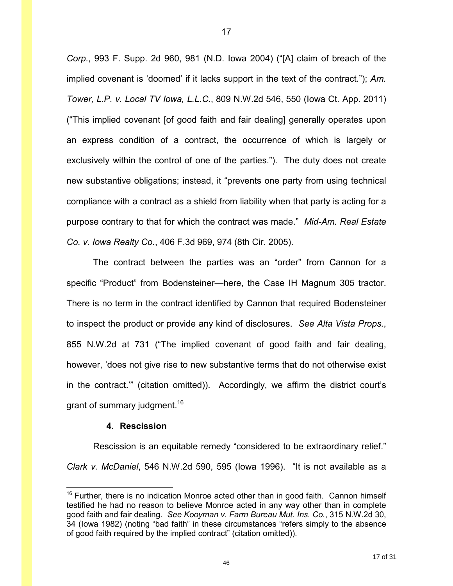*Corp.*, 993 F. Supp. 2d 960, 981 (N.D. Iowa 2004) ("[A] claim of breach of the implied covenant is 'doomed' if it lacks support in the text of the contract."); *Am. Tower, L.P. v. Local TV Iowa, L.L.C.*, 809 N.W.2d 546, 550 (Iowa Ct. App. 2011) ("This implied covenant [of good faith and fair dealing] generally operates upon an express condition of a contract, the occurrence of which is largely or exclusively within the control of one of the parties."). The duty does not create new substantive obligations; instead, it "prevents one party from using technical compliance with a contract as a shield from liability when that party is acting for a purpose contrary to that for which the contract was made." *Mid-Am. Real Estate Co. v. Iowa Realty Co.*, 406 F.3d 969, 974 (8th Cir. 2005).

 The contract between the parties was an "order" from Cannon for a specific "Product" from Bodensteiner—here, the Case IH Magnum 305 tractor. There is no term in the contract identified by Cannon that required Bodensteiner to inspect the product or provide any kind of disclosures. *See Alta Vista Props.*, 855 N.W.2d at 731 ("The implied covenant of good faith and fair dealing, however, 'does not give rise to new substantive terms that do not otherwise exist in the contract.'" (citation omitted)). Accordingly, we affirm the district court's grant of summary judgment.<sup>16</sup>

#### **4. Rescission**

 $\overline{a}$ 

Rescission is an equitable remedy "considered to be extraordinary relief." *Clark v. McDaniel*, 546 N.W.2d 590, 595 (Iowa 1996). "It is not available as a

 $16$  Further, there is no indication Monroe acted other than in good faith. Cannon himself testified he had no reason to believe Monroe acted in any way other than in complete good faith and fair dealing. *See Kooyman v. Farm Bureau Mut. Ins. Co.*, 315 N.W.2d 30, 34 (Iowa 1982) (noting "bad faith" in these circumstances "refers simply to the absence of good faith required by the implied contract" (citation omitted)).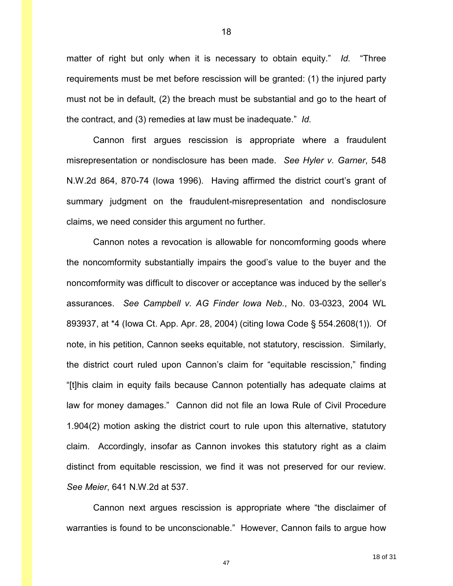matter of right but only when it is necessary to obtain equity." *Id.* "Three requirements must be met before rescission will be granted: (1) the injured party must not be in default, (2) the breach must be substantial and go to the heart of the contract, and (3) remedies at law must be inadequate." *Id.*

18

 Cannon first argues rescission is appropriate where a fraudulent misrepresentation or nondisclosure has been made. *See Hyler v. Garner*, 548 N.W.2d 864, 870-74 (Iowa 1996). Having affirmed the district court's grant of summary judgment on the fraudulent-misrepresentation and nondisclosure claims, we need consider this argument no further.

 Cannon notes a revocation is allowable for noncomforming goods where the noncomformity substantially impairs the good's value to the buyer and the noncomformity was difficult to discover or acceptance was induced by the seller's assurances. *See Campbell v. AG Finder Iowa Neb.*, No. 03-0323, 2004 WL 893937, at \*4 (Iowa Ct. App. Apr. 28, 2004) (citing Iowa Code § 554.2608(1)). Of note, in his petition, Cannon seeks equitable, not statutory, rescission. Similarly, the district court ruled upon Cannon's claim for "equitable rescission," finding "[t]his claim in equity fails because Cannon potentially has adequate claims at law for money damages." Cannon did not file an Iowa Rule of Civil Procedure 1.904(2) motion asking the district court to rule upon this alternative, statutory claim. Accordingly, insofar as Cannon invokes this statutory right as a claim distinct from equitable rescission, we find it was not preserved for our review. *See Meier*, 641 N.W.2d at 537.

 Cannon next argues rescission is appropriate where "the disclaimer of warranties is found to be unconscionable." However, Cannon fails to argue how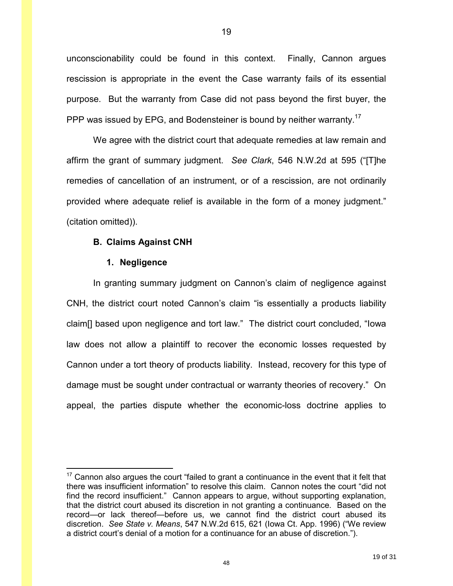unconscionability could be found in this context. Finally, Cannon argues rescission is appropriate in the event the Case warranty fails of its essential purpose. But the warranty from Case did not pass beyond the first buyer, the PPP was issued by EPG, and Bodensteiner is bound by neither warranty.<sup>17</sup>

 We agree with the district court that adequate remedies at law remain and affirm the grant of summary judgment. *See Clark*, 546 N.W.2d at 595 ("[T]he remedies of cancellation of an instrument, or of a rescission, are not ordinarily provided where adequate relief is available in the form of a money judgment." (citation omitted)).

### **B. Claims Against CNH**

#### **1. Negligence**

 $\overline{a}$ 

 In granting summary judgment on Cannon's claim of negligence against CNH, the district court noted Cannon's claim "is essentially a products liability claim[] based upon negligence and tort law." The district court concluded, "Iowa law does not allow a plaintiff to recover the economic losses requested by Cannon under a tort theory of products liability. Instead, recovery for this type of damage must be sought under contractual or warranty theories of recovery." On appeal, the parties dispute whether the economic-loss doctrine applies to

 $17$  Cannon also argues the court "failed to grant a continuance in the event that it felt that there was insufficient information" to resolve this claim. Cannon notes the court "did not find the record insufficient." Cannon appears to argue, without supporting explanation, that the district court abused its discretion in not granting a continuance. Based on the record—or lack thereof—before us, we cannot find the district court abused its discretion. *See State v. Means*, 547 N.W.2d 615, 621 (Iowa Ct. App. 1996) ("We review a district court's denial of a motion for a continuance for an abuse of discretion.").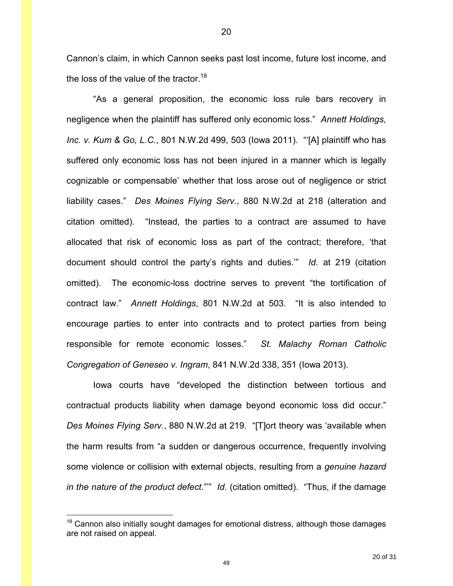Cannon's claim, in which Cannon seeks past lost income, future lost income, and the loss of the value of the tractor.<sup>18</sup>

 "As a general proposition, the economic loss rule bars recovery in negligence when the plaintiff has suffered only economic loss." *Annett Holdings, Inc. v. Kum & Go, L.C.*, 801 N.W.2d 499, 503 (Iowa 2011). "'[A] plaintiff who has suffered only economic loss has not been injured in a manner which is legally cognizable or compensable' whether that loss arose out of negligence or strict liability cases." *Des Moines Flying Serv.*, 880 N.W.2d at 218 (alteration and citation omitted). "Instead, the parties to a contract are assumed to have allocated that risk of economic loss as part of the contract; therefore, 'that document should control the party's rights and duties.'" *Id.* at 219 (citation omitted). The economic-loss doctrine serves to prevent "the tortification of contract law." *Annett Holdings*, 801 N.W.2d at 503. "It is also intended to encourage parties to enter into contracts and to protect parties from being responsible for remote economic losses." *St. Malachy Roman Catholic Congregation of Geneseo v. Ingram*, 841 N.W.2d 338, 351 (Iowa 2013).

 Iowa courts have "developed the distinction between tortious and contractual products liability when damage beyond economic loss did occur." *Des Moines Flying Serv.*, 880 N.W.2d at 219. "[T]ort theory was 'available when the harm results from "a sudden or dangerous occurrence, frequently involving some violence or collision with external objects, resulting from a *genuine hazard in the nature of the product defect*."'" *Id.* (citation omitted). "Thus, if the damage

 $\overline{a}$ 

 $18$  Cannon also initially sought damages for emotional distress, although those damages are not raised on appeal.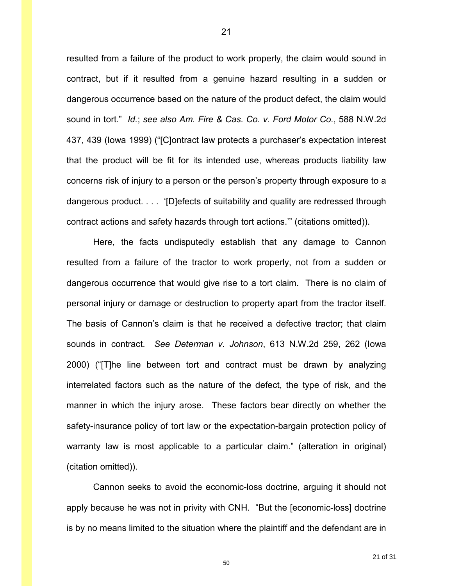resulted from a failure of the product to work properly, the claim would sound in contract, but if it resulted from a genuine hazard resulting in a sudden or dangerous occurrence based on the nature of the product defect, the claim would sound in tort." *Id.*; *see also Am. Fire & Cas. Co. v. Ford Motor Co.*, 588 N.W.2d 437, 439 (Iowa 1999) ("[C]ontract law protects a purchaser's expectation interest that the product will be fit for its intended use, whereas products liability law concerns risk of injury to a person or the person's property through exposure to a dangerous product. . . . '[D]efects of suitability and quality are redressed through contract actions and safety hazards through tort actions.'" (citations omitted)).

21

 Here, the facts undisputedly establish that any damage to Cannon resulted from a failure of the tractor to work properly, not from a sudden or dangerous occurrence that would give rise to a tort claim. There is no claim of personal injury or damage or destruction to property apart from the tractor itself. The basis of Cannon's claim is that he received a defective tractor; that claim sounds in contract. *See Determan v. Johnson*, 613 N.W.2d 259, 262 (Iowa 2000) ("[T]he line between tort and contract must be drawn by analyzing interrelated factors such as the nature of the defect, the type of risk, and the manner in which the injury arose. These factors bear directly on whether the safety-insurance policy of tort law or the expectation-bargain protection policy of warranty law is most applicable to a particular claim." (alteration in original) (citation omitted)).

 Cannon seeks to avoid the economic-loss doctrine, arguing it should not apply because he was not in privity with CNH. "But the [economic-loss] doctrine is by no means limited to the situation where the plaintiff and the defendant are in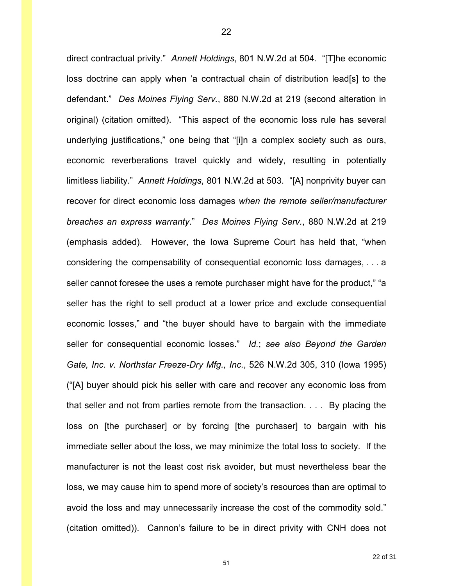direct contractual privity." *Annett Holdings*, 801 N.W.2d at 504. "[T]he economic loss doctrine can apply when 'a contractual chain of distribution lead[s] to the defendant." *Des Moines Flying Serv.*, 880 N.W.2d at 219 (second alteration in original) (citation omitted). "This aspect of the economic loss rule has several underlying justifications," one being that "[i]n a complex society such as ours, economic reverberations travel quickly and widely, resulting in potentially limitless liability." *Annett Holdings*, 801 N.W.2d at 503. "[A] nonprivity buyer can recover for direct economic loss damages *when the remote seller/manufacturer breaches an express warranty*." *Des Moines Flying Serv.*, 880 N.W.2d at 219 (emphasis added). However, the Iowa Supreme Court has held that, "when considering the compensability of consequential economic loss damages, . . . a seller cannot foresee the uses a remote purchaser might have for the product," "a seller has the right to sell product at a lower price and exclude consequential economic losses," and "the buyer should have to bargain with the immediate seller for consequential economic losses." *Id.*; *see also Beyond the Garden Gate, Inc. v. Northstar Freeze-Dry Mfg., Inc.*, 526 N.W.2d 305, 310 (Iowa 1995) ("[A] buyer should pick his seller with care and recover any economic loss from that seller and not from parties remote from the transaction. . . . By placing the loss on [the purchaser] or by forcing [the purchaser] to bargain with his immediate seller about the loss, we may minimize the total loss to society. If the manufacturer is not the least cost risk avoider, but must nevertheless bear the loss, we may cause him to spend more of society's resources than are optimal to avoid the loss and may unnecessarily increase the cost of the commodity sold." (citation omitted)). Cannon's failure to be in direct privity with CNH does not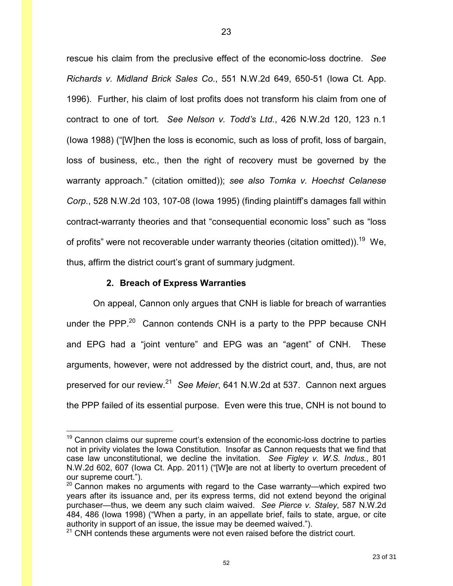rescue his claim from the preclusive effect of the economic-loss doctrine. *See Richards v. Midland Brick Sales Co.*, 551 N.W.2d 649, 650-51 (Iowa Ct. App. 1996). Further, his claim of lost profits does not transform his claim from one of contract to one of tort. *See Nelson v. Todd's Ltd.*, 426 N.W.2d 120, 123 n.1 (Iowa 1988) ("[W]hen the loss is economic, such as loss of profit, loss of bargain, loss of business, etc., then the right of recovery must be governed by the warranty approach." (citation omitted)); *see also Tomka v. Hoechst Celanese Corp.*, 528 N.W.2d 103, 107-08 (Iowa 1995) (finding plaintiff's damages fall within contract-warranty theories and that "consequential economic loss" such as "loss of profits" were not recoverable under warranty theories (citation omitted)).<sup>19</sup> We, thus, affirm the district court's grant of summary judgment.

#### **2. Breach of Express Warranties**

 $\overline{a}$ 

On appeal, Cannon only argues that CNH is liable for breach of warranties under the PPP.<sup>20</sup> Cannon contends CNH is a party to the PPP because CNH and EPG had a "joint venture" and EPG was an "agent" of CNH. These arguments, however, were not addressed by the district court, and, thus, are not preserved for our review.<sup>21</sup> See Meier, 641 N.W.2d at 537. Cannon next argues the PPP failed of its essential purpose. Even were this true, CNH is not bound to

 $19$  Cannon claims our supreme court's extension of the economic-loss doctrine to parties not in privity violates the Iowa Constitution. Insofar as Cannon requests that we find that case law unconstitutional, we decline the invitation. *See Figley v. W.S. Indus.*, 801 N.W.2d 602, 607 (Iowa Ct. App. 2011) ("[W]e are not at liberty to overturn precedent of our supreme court.").

 $20$  Cannon makes no arguments with regard to the Case warranty—which expired two years after its issuance and, per its express terms, did not extend beyond the original purchaser—thus, we deem any such claim waived. *See Pierce v. Staley*, 587 N.W.2d 484, 486 (Iowa 1998) ("When a party, in an appellate brief, fails to state, argue, or cite authority in support of an issue, the issue may be deemed waived.").

 $21$  CNH contends these arguments were not even raised before the district court.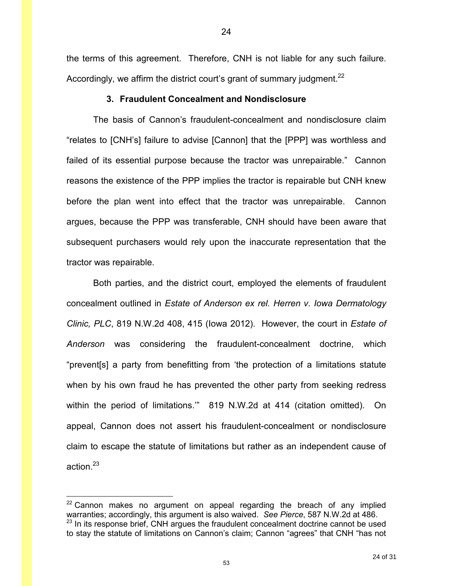the terms of this agreement. Therefore, CNH is not liable for any such failure. Accordingly, we affirm the district court's grant of summary judgment.<sup>22</sup>

### **3. Fraudulent Concealment and Nondisclosure**

The basis of Cannon's fraudulent-concealment and nondisclosure claim "relates to [CNH's] failure to advise [Cannon] that the [PPP] was worthless and failed of its essential purpose because the tractor was unrepairable." Cannon reasons the existence of the PPP implies the tractor is repairable but CNH knew before the plan went into effect that the tractor was unrepairable. Cannon argues, because the PPP was transferable, CNH should have been aware that subsequent purchasers would rely upon the inaccurate representation that the tractor was repairable.

 Both parties, and the district court, employed the elements of fraudulent concealment outlined in *Estate of Anderson ex rel. Herren v. Iowa Dermatology Clinic, PLC*, 819 N.W.2d 408, 415 (Iowa 2012). However, the court in *Estate of Anderson* was considering the fraudulent-concealment doctrine, which "prevent[s] a party from benefitting from 'the protection of a limitations statute when by his own fraud he has prevented the other party from seeking redress within the period of limitations.'" 819 N.W.2d at 414 (citation omitted). On appeal, Cannon does not assert his fraudulent-concealment or nondisclosure claim to escape the statute of limitations but rather as an independent cause of action.<sup>23</sup>

<u>.</u>

 $22$  Cannon makes no argument on appeal regarding the breach of any implied warranties; accordingly, this argument is also waived. *See Pierce*, 587 N.W.2d at 486.  $23$  In its response brief, CNH argues the fraudulent concealment doctrine cannot be used to stay the statute of limitations on Cannon's claim; Cannon "agrees" that CNH "has not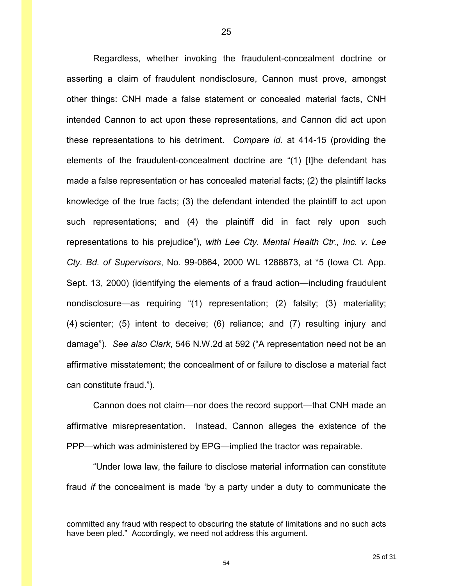Regardless, whether invoking the fraudulent-concealment doctrine or asserting a claim of fraudulent nondisclosure, Cannon must prove, amongst other things: CNH made a false statement or concealed material facts, CNH intended Cannon to act upon these representations, and Cannon did act upon these representations to his detriment. *Compare id.* at 414-15 (providing the elements of the fraudulent-concealment doctrine are "(1) [t]he defendant has made a false representation or has concealed material facts; (2) the plaintiff lacks knowledge of the true facts; (3) the defendant intended the plaintiff to act upon such representations; and (4) the plaintiff did in fact rely upon such representations to his prejudice"), *with Lee Cty. Mental Health Ctr., Inc. v. Lee Cty. Bd. of Supervisors*, No. 99-0864, 2000 WL 1288873, at \*5 (Iowa Ct. App. Sept. 13, 2000) (identifying the elements of a fraud action—including fraudulent nondisclosure—as requiring "(1) representation; (2) falsity; (3) materiality; (4) scienter; (5) intent to deceive; (6) reliance; and (7) resulting injury and damage"). *See also Clark*, 546 N.W.2d at 592 ("A representation need not be an affirmative misstatement; the concealment of or failure to disclose a material fact can constitute fraud.").

 Cannon does not claim—nor does the record support—that CNH made an affirmative misrepresentation. Instead, Cannon alleges the existence of the PPP—which was administered by EPG—implied the tractor was repairable.

 "Under Iowa law, the failure to disclose material information can constitute fraud *if* the concealment is made 'by a party under a duty to communicate the

 $\overline{a}$ 

committed any fraud with respect to obscuring the statute of limitations and no such acts have been pled." Accordingly, we need not address this argument.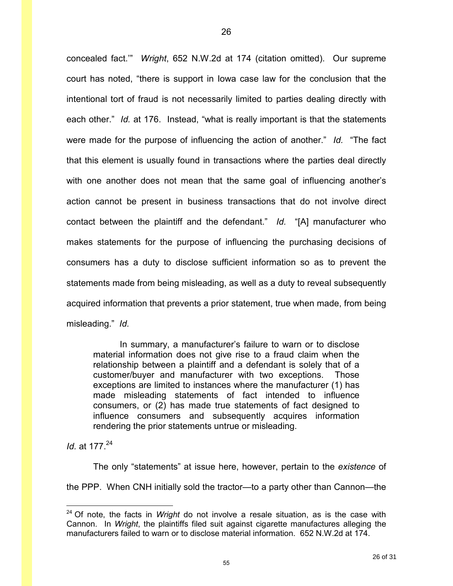concealed fact.'" *Wright*, 652 N.W.2d at 174 (citation omitted). Our supreme court has noted, "there is support in Iowa case law for the conclusion that the intentional tort of fraud is not necessarily limited to parties dealing directly with each other." *Id.* at 176. Instead, "what is really important is that the statements were made for the purpose of influencing the action of another." *Id.* "The fact that this element is usually found in transactions where the parties deal directly with one another does not mean that the same goal of influencing another's action cannot be present in business transactions that do not involve direct contact between the plaintiff and the defendant." *Id.* "[A] manufacturer who makes statements for the purpose of influencing the purchasing decisions of consumers has a duty to disclose sufficient information so as to prevent the statements made from being misleading, as well as a duty to reveal subsequently acquired information that prevents a prior statement, true when made, from being misleading." *Id.* 

In summary, a manufacturer's failure to warn or to disclose material information does not give rise to a fraud claim when the relationship between a plaintiff and a defendant is solely that of a customer/buyer and manufacturer with two exceptions. Those exceptions are limited to instances where the manufacturer (1) has made misleading statements of fact intended to influence consumers, or (2) has made true statements of fact designed to influence consumers and subsequently acquires information rendering the prior statements untrue or misleading.

*Id.* at 177.<sup>24</sup>

 $\overline{a}$ 

 The only "statements" at issue here, however, pertain to the *existence* of the PPP. When CNH initially sold the tractor—to a party other than Cannon—the

<sup>24</sup> Of note, the facts in *Wright* do not involve a resale situation, as is the case with Cannon. In *Wright*, the plaintiffs filed suit against cigarette manufactures alleging the manufacturers failed to warn or to disclose material information. 652 N.W.2d at 174.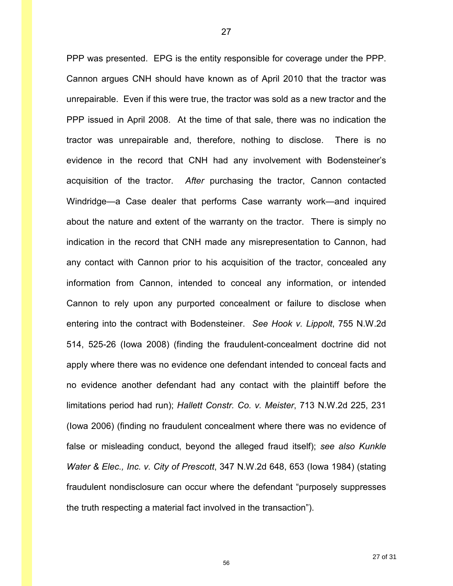PPP was presented. EPG is the entity responsible for coverage under the PPP. Cannon argues CNH should have known as of April 2010 that the tractor was unrepairable. Even if this were true, the tractor was sold as a new tractor and the PPP issued in April 2008. At the time of that sale, there was no indication the tractor was unrepairable and, therefore, nothing to disclose. There is no evidence in the record that CNH had any involvement with Bodensteiner's acquisition of the tractor. *After* purchasing the tractor, Cannon contacted Windridge—a Case dealer that performs Case warranty work—and inquired about the nature and extent of the warranty on the tractor. There is simply no indication in the record that CNH made any misrepresentation to Cannon, had any contact with Cannon prior to his acquisition of the tractor, concealed any information from Cannon, intended to conceal any information, or intended Cannon to rely upon any purported concealment or failure to disclose when entering into the contract with Bodensteiner. *See Hook v. Lippolt*, 755 N.W.2d 514, 525-26 (Iowa 2008) (finding the fraudulent-concealment doctrine did not apply where there was no evidence one defendant intended to conceal facts and no evidence another defendant had any contact with the plaintiff before the limitations period had run); *Hallett Constr. Co. v. Meister*, 713 N.W.2d 225, 231 (Iowa 2006) (finding no fraudulent concealment where there was no evidence of false or misleading conduct, beyond the alleged fraud itself); *see also Kunkle Water & Elec., Inc. v. City of Prescott*, 347 N.W.2d 648, 653 (Iowa 1984) (stating fraudulent nondisclosure can occur where the defendant "purposely suppresses the truth respecting a material fact involved in the transaction").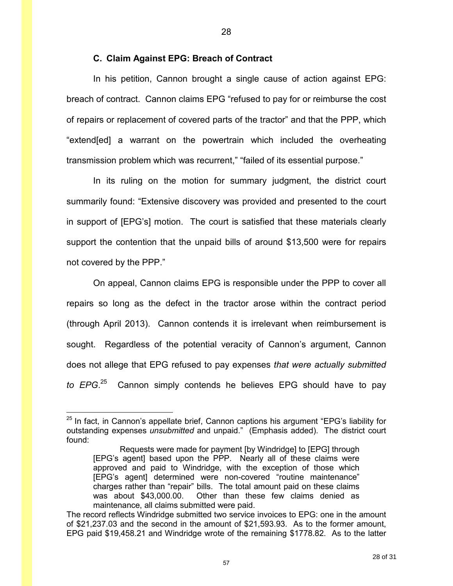### **C. Claim Against EPG: Breach of Contract**

In his petition, Cannon brought a single cause of action against EPG: breach of contract. Cannon claims EPG "refused to pay for or reimburse the cost of repairs or replacement of covered parts of the tractor" and that the PPP, which "extend[ed] a warrant on the powertrain which included the overheating transmission problem which was recurrent," "failed of its essential purpose."

28

In its ruling on the motion for summary judgment, the district court summarily found: "Extensive discovery was provided and presented to the court in support of [EPG's] motion. The court is satisfied that these materials clearly support the contention that the unpaid bills of around \$13,500 were for repairs not covered by the PPP."

On appeal, Cannon claims EPG is responsible under the PPP to cover all repairs so long as the defect in the tractor arose within the contract period (through April 2013). Cannon contends it is irrelevant when reimbursement is sought. Regardless of the potential veracity of Cannon's argument, Cannon does not allege that EPG refused to pay expenses *that were actually submitted to EPG*. <sup>25</sup> Cannon simply contends he believes EPG should have to pay

 $\overline{a}$ 

 $25$  In fact, in Cannon's appellate brief, Cannon captions his argument "EPG's liability for outstanding expenses *unsubmitted* and unpaid." (Emphasis added). The district court found:

Requests were made for payment [by Windridge] to [EPG] through [EPG's agent] based upon the PPP. Nearly all of these claims were approved and paid to Windridge, with the exception of those which [EPG's agent] determined were non-covered "routine maintenance" charges rather than "repair" bills. The total amount paid on these claims was about \$43,000.00. Other than these few claims denied as maintenance, all claims submitted were paid.

The record reflects Windridge submitted two service invoices to EPG: one in the amount of \$21,237.03 and the second in the amount of \$21,593.93. As to the former amount, EPG paid \$19,458.21 and Windridge wrote of the remaining \$1778.82. As to the latter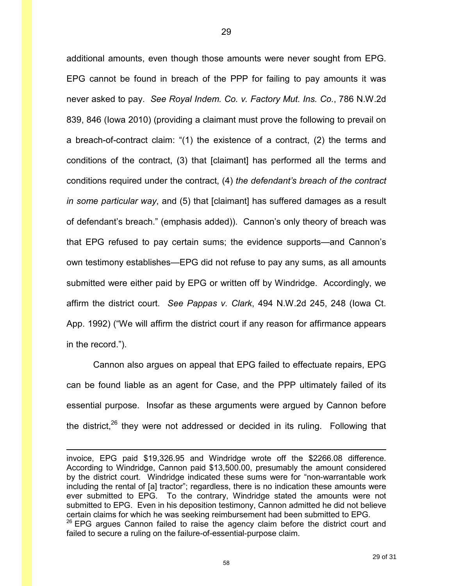additional amounts, even though those amounts were never sought from EPG. EPG cannot be found in breach of the PPP for failing to pay amounts it was never asked to pay. *See Royal Indem. Co. v. Factory Mut. Ins. Co.*, 786 N.W.2d 839, 846 (Iowa 2010) (providing a claimant must prove the following to prevail on a breach-of-contract claim: "(1) the existence of a contract, (2) the terms and conditions of the contract, (3) that [claimant] has performed all the terms and conditions required under the contract, (4) *the defendant's breach of the contract in some particular way*, and (5) that [claimant] has suffered damages as a result of defendant's breach." (emphasis added)). Cannon's only theory of breach was that EPG refused to pay certain sums; the evidence supports—and Cannon's own testimony establishes—EPG did not refuse to pay any sums, as all amounts submitted were either paid by EPG or written off by Windridge. Accordingly, we affirm the district court. *See Pappas v. Clark*, 494 N.W.2d 245, 248 (Iowa Ct. App. 1992) ("We will affirm the district court if any reason for affirmance appears in the record.").

Cannon also argues on appeal that EPG failed to effectuate repairs, EPG can be found liable as an agent for Case, and the PPP ultimately failed of its essential purpose. Insofar as these arguments were argued by Cannon before the district, $26$  they were not addressed or decided in its ruling. Following that

 $\overline{a}$ 

invoice, EPG paid \$19,326.95 and Windridge wrote off the \$2266.08 difference. According to Windridge, Cannon paid \$13,500.00, presumably the amount considered by the district court. Windridge indicated these sums were for "non-warrantable work including the rental of [a] tractor"; regardless, there is no indication these amounts were ever submitted to EPG. To the contrary, Windridge stated the amounts were not submitted to EPG. Even in his deposition testimony, Cannon admitted he did not believe certain claims for which he was seeking reimbursement had been submitted to EPG.  $26$  EPG argues Cannon failed to raise the agency claim before the district court and failed to secure a ruling on the failure-of-essential-purpose claim.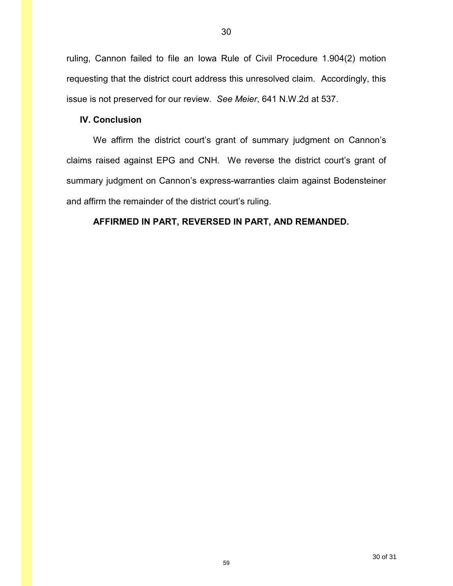ruling, Cannon failed to file an Iowa Rule of Civil Procedure 1.904(2) motion requesting that the district court address this unresolved claim. Accordingly, this issue is not preserved for our review. *See Meier*, 641 N.W.2d at 537.

### **IV. Conclusion**

We affirm the district court's grant of summary judgment on Cannon's claims raised against EPG and CNH. We reverse the district court's grant of summary judgment on Cannon's express-warranties claim against Bodensteiner and affirm the remainder of the district court's ruling.

## **AFFIRMED IN PART, REVERSED IN PART, AND REMANDED.**